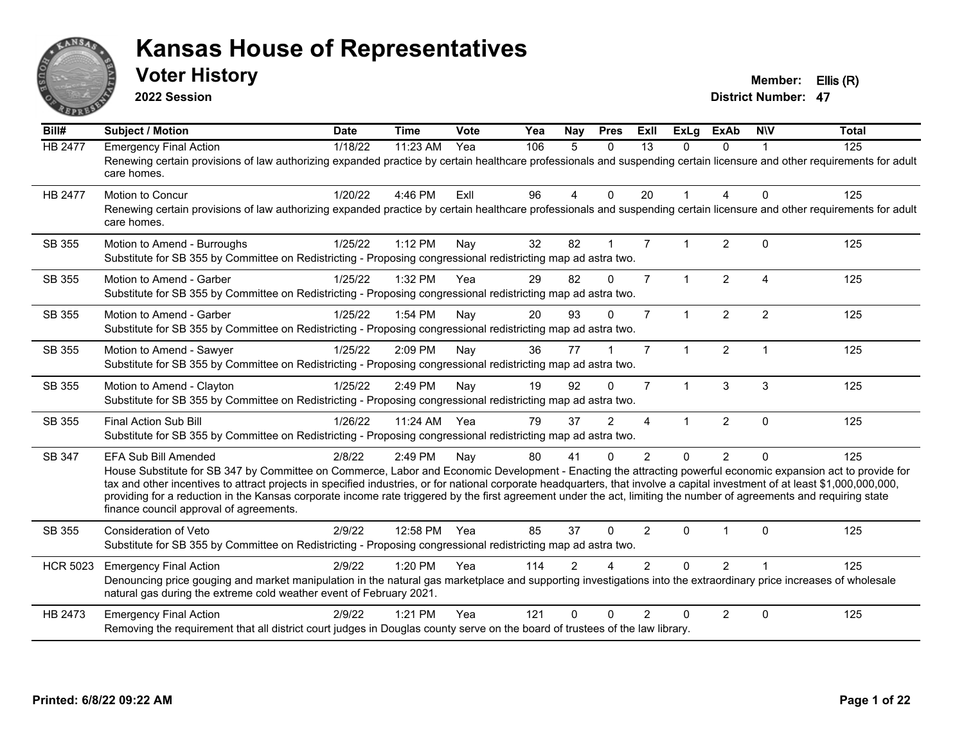

**2022 Session**

**Voter History Member: Ellis (R)** 

| Bill#           | Subject / Motion                                                                                                                                                                                                                                                                                                                                                                                                                                                                                                                                                                            | <b>Date</b> | <b>Time</b> | Vote | Yea | Nay            | <b>Pres</b>    | ExIl           | <b>ExLg</b>          | <b>ExAb</b>    | <b>NIV</b>              | <b>Total</b> |
|-----------------|---------------------------------------------------------------------------------------------------------------------------------------------------------------------------------------------------------------------------------------------------------------------------------------------------------------------------------------------------------------------------------------------------------------------------------------------------------------------------------------------------------------------------------------------------------------------------------------------|-------------|-------------|------|-----|----------------|----------------|----------------|----------------------|----------------|-------------------------|--------------|
| <b>HB 2477</b>  | <b>Emergency Final Action</b><br>Renewing certain provisions of law authorizing expanded practice by certain healthcare professionals and suspending certain licensure and other requirements for adult<br>care homes.                                                                                                                                                                                                                                                                                                                                                                      | 1/18/22     | 11:23 AM    | Yea  | 106 | 5              | $\Omega$       | 13             | 0                    | 0              |                         | 125          |
| <b>HB 2477</b>  | Motion to Concur<br>Renewing certain provisions of law authorizing expanded practice by certain healthcare professionals and suspending certain licensure and other requirements for adult<br>care homes.                                                                                                                                                                                                                                                                                                                                                                                   | 1/20/22     | 4:46 PM     | ExIl | 96  | $\overline{4}$ | $\mathbf{0}$   | 20             | $\mathbf 1$          | 4              | $\mathbf 0$             | 125          |
| SB 355          | Motion to Amend - Burroughs<br>Substitute for SB 355 by Committee on Redistricting - Proposing congressional redistricting map ad astra two.                                                                                                                                                                                                                                                                                                                                                                                                                                                | 1/25/22     | 1:12 PM     | Nav  | 32  | 82             |                | $\overline{7}$ |                      | $\overline{2}$ | $\Omega$                | 125          |
| SB 355          | Motion to Amend - Garber<br>Substitute for SB 355 by Committee on Redistricting - Proposing congressional redistricting map ad astra two.                                                                                                                                                                                                                                                                                                                                                                                                                                                   | 1/25/22     | 1:32 PM     | Yea  | 29  | 82             | $\Omega$       | $\overline{7}$ | $\mathbf{1}$         | $\overline{2}$ | $\overline{a}$          | 125          |
| SB 355          | Motion to Amend - Garber<br>Substitute for SB 355 by Committee on Redistricting - Proposing congressional redistricting map ad astra two.                                                                                                                                                                                                                                                                                                                                                                                                                                                   | 1/25/22     | 1:54 PM     | Nay  | 20  | 93             | $\Omega$       | $\overline{7}$ | $\mathbf{1}$         | $\overline{2}$ | $\overline{2}$          | 125          |
| SB 355          | Motion to Amend - Sawyer<br>Substitute for SB 355 by Committee on Redistricting - Proposing congressional redistricting map ad astra two.                                                                                                                                                                                                                                                                                                                                                                                                                                                   | 1/25/22     | 2:09 PM     | Nay  | 36  | 77             |                | $\overline{7}$ | $\blacktriangleleft$ | $\overline{2}$ | $\overline{\mathbf{1}}$ | 125          |
| SB 355          | Motion to Amend - Clayton<br>Substitute for SB 355 by Committee on Redistricting - Proposing congressional redistricting map ad astra two.                                                                                                                                                                                                                                                                                                                                                                                                                                                  | 1/25/22     | 2:49 PM     | Nay  | 19  | 92             | $\Omega$       | $\overline{7}$ | $\mathbf{1}$         | 3              | 3                       | 125          |
| SB 355          | Final Action Sub Bill<br>Substitute for SB 355 by Committee on Redistricting - Proposing congressional redistricting map ad astra two.                                                                                                                                                                                                                                                                                                                                                                                                                                                      | 1/26/22     | 11:24 AM    | Yea  | 79  | 37             | $\mathfrak{p}$ | Δ              | 1                    | $\overline{2}$ | $\Omega$                | 125          |
| SB 347          | EFA Sub Bill Amended<br>House Substitute for SB 347 by Committee on Commerce, Labor and Economic Development - Enacting the attracting powerful economic expansion act to provide for<br>tax and other incentives to attract projects in specified industries, or for national corporate headquarters, that involve a capital investment of at least \$1,000,000,000,000,<br>providing for a reduction in the Kansas corporate income rate triggered by the first agreement under the act, limiting the number of agreements and requiring state<br>finance council approval of agreements. | 2/8/22      | 2:49 PM     | Nay  | 80  | 41             | $\Omega$       | $\mathcal{P}$  | $\Omega$             | $\overline{2}$ | $\Omega$                | 125          |
| SB 355          | Consideration of Veto<br>Substitute for SB 355 by Committee on Redistricting - Proposing congressional redistricting map ad astra two.                                                                                                                                                                                                                                                                                                                                                                                                                                                      | 2/9/22      | 12:58 PM    | Yea  | 85  | 37             | $\Omega$       | 2              | $\Omega$             |                | $\Omega$                | 125          |
| <b>HCR 5023</b> | <b>Emergency Final Action</b><br>Denouncing price gouging and market manipulation in the natural gas marketplace and supporting investigations into the extraordinary price increases of wholesale<br>natural gas during the extreme cold weather event of February 2021.                                                                                                                                                                                                                                                                                                                   | 2/9/22      | 1:20 PM     | Yea  | 114 | $\mathfrak{p}$ |                | $\mathcal{P}$  | $\Omega$             | $\overline{2}$ |                         | 125          |
| HB 2473         | <b>Emergency Final Action</b><br>Removing the requirement that all district court judges in Douglas county serve on the board of trustees of the law library.                                                                                                                                                                                                                                                                                                                                                                                                                               | 2/9/22      | $1:21$ PM   | Yea  | 121 | U              |                | $\mathcal{P}$  | $\Omega$             | $\overline{2}$ | $\Omega$                | 125          |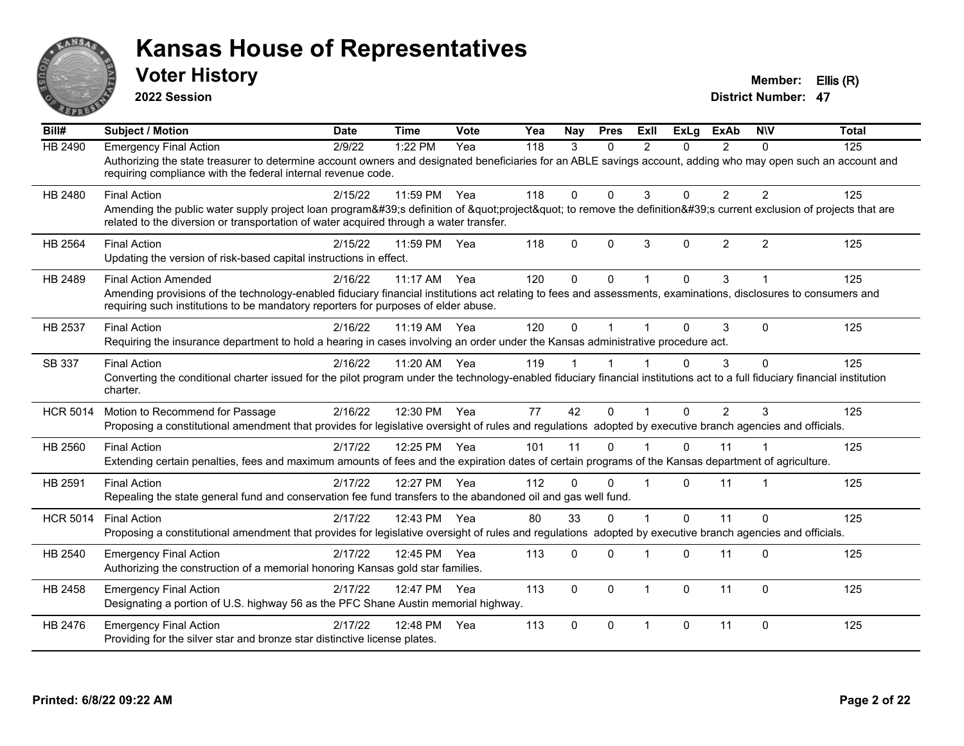

**2022 Session**

**Voter History Member: Ellis (R)** 

| Bill#           | <b>Subject / Motion</b>                                                                                                                                                                                                                                                              | <b>Date</b> | <b>Time</b>  | Vote  | Yea | <b>Nav</b>  | <b>Pres</b> | ExIl           | ExLa     | <b>ExAb</b>    | <b>NIV</b>     | <b>Total</b> |
|-----------------|--------------------------------------------------------------------------------------------------------------------------------------------------------------------------------------------------------------------------------------------------------------------------------------|-------------|--------------|-------|-----|-------------|-------------|----------------|----------|----------------|----------------|--------------|
| <b>HB 2490</b>  | <b>Emergency Final Action</b><br>Authorizing the state treasurer to determine account owners and designated beneficiaries for an ABLE savings account, adding who may open such an account and<br>requiring compliance with the federal internal revenue code.                       | 2/9/22      | 1:22 PM      | Yea   | 118 | 3           | $\Omega$    | $\mathfrak{p}$ | 0        | $\mathcal{P}$  | $\Omega$       | 125          |
| HB 2480         | <b>Final Action</b><br>Amending the public water supply project loan program's definition of "project" to remove the definition's current exclusion of projects that are<br>related to the diversion or transportation of water acquired through a water transfer.                   | 2/15/22     | 11:59 PM     | Yea   | 118 | $\Omega$    | $\Omega$    | 3              | $\Omega$ | $\overline{2}$ | $\overline{2}$ | 125          |
| <b>HB 2564</b>  | <b>Final Action</b><br>Updating the version of risk-based capital instructions in effect.                                                                                                                                                                                            | 2/15/22     | 11:59 PM     | Yea   | 118 | $\Omega$    | $\Omega$    | 3              | $\Omega$ | $\overline{2}$ | $\overline{2}$ | 125          |
| HB 2489         | <b>Final Action Amended</b><br>Amending provisions of the technology-enabled fiduciary financial institutions act relating to fees and assessments, examinations, disclosures to consumers and<br>requiring such institutions to be mandatory reporters for purposes of elder abuse. | 2/16/22     | 11:17 AM     | Yea   | 120 | $\Omega$    | $\Omega$    |                | $\Omega$ | 3              |                | 125          |
| HB 2537         | <b>Final Action</b><br>Requiring the insurance department to hold a hearing in cases involving an order under the Kansas administrative procedure act.                                                                                                                               | 2/16/22     | 11:19 AM     | Yea   | 120 | $\Omega$    |             |                | 0        | 3              | $\Omega$       | 125          |
| SB 337          | <b>Final Action</b><br>Converting the conditional charter issued for the pilot program under the technology-enabled fiduciary financial institutions act to a full fiduciary financial institution<br>charter.                                                                       | 2/16/22     | 11:20 AM     | Yea   | 119 |             |             |                | 0        | 3              | $\Omega$       | 125          |
| <b>HCR 5014</b> | Motion to Recommend for Passage<br>Proposing a constitutional amendment that provides for legislative oversight of rules and regulations adopted by executive branch agencies and officials.                                                                                         | 2/16/22     | 12:30 PM     | Yea   | 77  | 42          | $\Omega$    |                | $\Omega$ | $\overline{2}$ | 3              | 125          |
| HB 2560         | <b>Final Action</b><br>Extending certain penalties, fees and maximum amounts of fees and the expiration dates of certain programs of the Kansas department of agriculture.                                                                                                           | 2/17/22     | 12:25 PM     | - Yea | 101 | 11          | $\Omega$    |                | $\Omega$ | 11             |                | 125          |
| HB 2591         | <b>Final Action</b><br>Repealing the state general fund and conservation fee fund transfers to the abandoned oil and gas well fund.                                                                                                                                                  | 2/17/22     | 12:27 PM Yea |       | 112 | $\Omega$    | $\Omega$    |                | $\Omega$ | 11             |                | 125          |
| <b>HCR 5014</b> | <b>Final Action</b><br>Proposing a constitutional amendment that provides for legislative oversight of rules and regulations adopted by executive branch agencies and officials.                                                                                                     | 2/17/22     | 12:43 PM     | Yea   | 80  | 33          | $\Omega$    |                | $\Omega$ | 11             | $\Omega$       | 125          |
| HB 2540         | <b>Emergency Final Action</b><br>Authorizing the construction of a memorial honoring Kansas gold star families.                                                                                                                                                                      | 2/17/22     | 12:45 PM     | Yea   | 113 | $\Omega$    | $\Omega$    |                | $\Omega$ | 11             | $\Omega$       | 125          |
| HB 2458         | <b>Emergency Final Action</b><br>Designating a portion of U.S. highway 56 as the PFC Shane Austin memorial highway.                                                                                                                                                                  | 2/17/22     | 12:47 PM     | Yea   | 113 | $\mathbf 0$ | $\Omega$    | $\overline{1}$ | $\Omega$ | 11             | $\mathbf 0$    | 125          |
| HB 2476         | <b>Emergency Final Action</b><br>Providing for the silver star and bronze star distinctive license plates.                                                                                                                                                                           | 2/17/22     | 12:48 PM     | Yea   | 113 | $\Omega$    | $\Omega$    | $\overline{1}$ | 0        | 11             | $\Omega$       | 125          |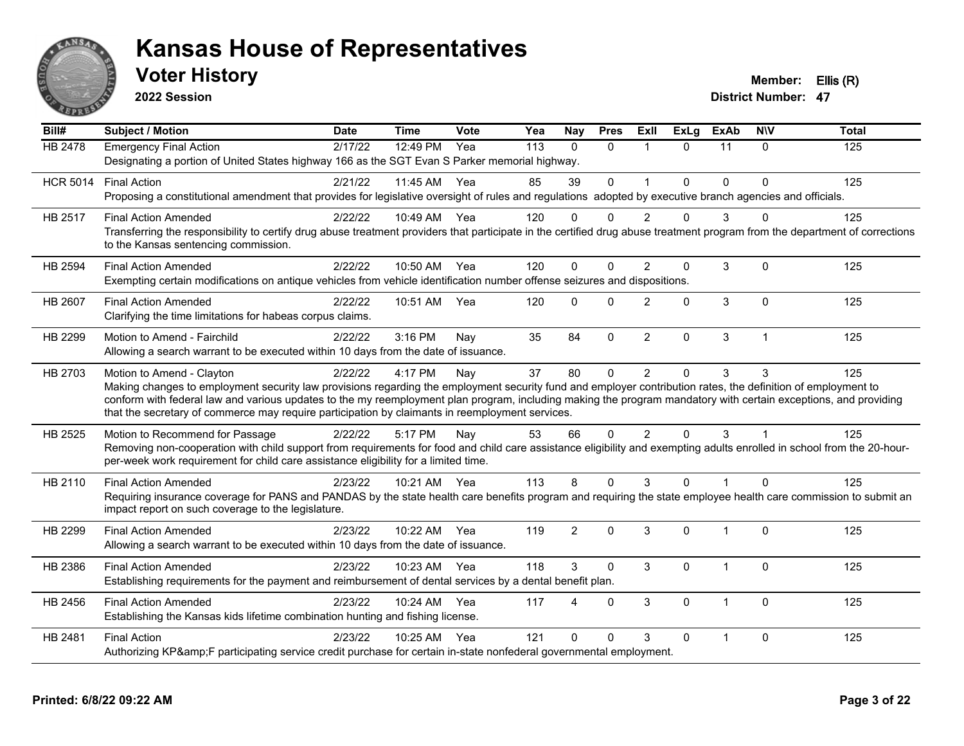

**2022 Session**

**Voter History Member: Ellis (R)** 

| Bill#           | <b>Subject / Motion</b>                                                                                                                                                                                                                                                                                                         | <b>Date</b> | <b>Time</b>  | Vote | Yea | <b>Nay</b>     | <b>Pres</b>  | Exll           | <b>ExLg</b>  | <b>ExAb</b>    | <b>NIV</b>     | <b>Total</b> |
|-----------------|---------------------------------------------------------------------------------------------------------------------------------------------------------------------------------------------------------------------------------------------------------------------------------------------------------------------------------|-------------|--------------|------|-----|----------------|--------------|----------------|--------------|----------------|----------------|--------------|
| <b>HB 2478</b>  | <b>Emergency Final Action</b><br>Designating a portion of United States highway 166 as the SGT Evan S Parker memorial highway.                                                                                                                                                                                                  | 2/17/22     | 12:49 PM     | Yea  | 113 | $\Omega$       | $\Omega$     | $\overline{1}$ | $\Omega$     | 11             | $\Omega$       | 125          |
|                 |                                                                                                                                                                                                                                                                                                                                 |             |              |      |     |                |              |                |              |                |                |              |
| <b>HCR 5014</b> | <b>Final Action</b><br>Proposing a constitutional amendment that provides for legislative oversight of rules and regulations adopted by executive branch agencies and officials.                                                                                                                                                | 2/21/22     | 11:45 AM     | Yea  | 85  | 39             | $\mathbf 0$  | $\mathbf{1}$   | $\Omega$     | $\mathbf{0}$   | $\Omega$       | 125          |
| HB 2517         | <b>Final Action Amended</b>                                                                                                                                                                                                                                                                                                     | 2/22/22     | 10:49 AM Yea |      | 120 | $\Omega$       | ∩            | 2              | 0            | 3              |                | 125          |
|                 | Transferring the responsibility to certify drug abuse treatment providers that participate in the certified drug abuse treatment program from the department of corrections<br>to the Kansas sentencing commission.                                                                                                             |             |              |      |     |                |              |                |              |                |                |              |
| HB 2594         | <b>Final Action Amended</b>                                                                                                                                                                                                                                                                                                     | 2/22/22     | 10:50 AM Yea |      | 120 | $\Omega$       | $\Omega$     | $\overline{2}$ | 0            | 3              | $\Omega$       | 125          |
|                 | Exempting certain modifications on antique vehicles from vehicle identification number offense seizures and dispositions.                                                                                                                                                                                                       |             |              |      |     |                |              |                |              |                |                |              |
| HB 2607         | <b>Final Action Amended</b>                                                                                                                                                                                                                                                                                                     | 2/22/22     | 10:51 AM     | Yea  | 120 | $\Omega$       | $\mathbf{0}$ | $\overline{2}$ | 0            | 3              | $\Omega$       | 125          |
|                 | Clarifying the time limitations for habeas corpus claims.                                                                                                                                                                                                                                                                       |             |              |      |     |                |              |                |              |                |                |              |
| HB 2299         | Motion to Amend - Fairchild                                                                                                                                                                                                                                                                                                     | 2/22/22     | 3:16 PM      | Nay  | 35  | 84             | $\Omega$     | $\overline{2}$ | 0            | $\mathfrak{S}$ | $\overline{1}$ | 125          |
|                 | Allowing a search warrant to be executed within 10 days from the date of issuance.                                                                                                                                                                                                                                              |             |              |      |     |                |              |                |              |                |                |              |
| HB 2703         | Motion to Amend - Clayton                                                                                                                                                                                                                                                                                                       | 2/22/22     | 4:17 PM      | Nay  | 37  | 80             | $\Omega$     | $\overline{2}$ | $\Omega$     | 3              | 3              | 125          |
|                 | Making changes to employment security law provisions regarding the employment security fund and employer contribution rates, the definition of employment to<br>conform with federal law and various updates to the my reemployment plan program, including making the program mandatory with certain exceptions, and providing |             |              |      |     |                |              |                |              |                |                |              |
|                 | that the secretary of commerce may require participation by claimants in reemployment services.                                                                                                                                                                                                                                 |             |              |      |     |                |              |                |              |                |                |              |
| HB 2525         | Motion to Recommend for Passage                                                                                                                                                                                                                                                                                                 | 2/22/22     | 5:17 PM      | Nay  | 53  | 66             | $\Omega$     | $\overline{2}$ | $\Omega$     | 3              |                | 125          |
|                 | Removing non-cooperation with child support from requirements for food and child care assistance eligibility and exempting adults enrolled in school from the 20-hour-                                                                                                                                                          |             |              |      |     |                |              |                |              |                |                |              |
|                 | per-week work requirement for child care assistance eligibility for a limited time.                                                                                                                                                                                                                                             |             |              |      |     |                |              |                |              |                |                |              |
| HB 2110         | <b>Final Action Amended</b>                                                                                                                                                                                                                                                                                                     | 2/23/22     | 10:21 AM Yea |      | 113 | 8              | $\Omega$     | 3              | $\Omega$     |                | $\Omega$       | 125          |
|                 | Requiring insurance coverage for PANS and PANDAS by the state health care benefits program and requiring the state employee health care commission to submit an<br>impact report on such coverage to the legislature.                                                                                                           |             |              |      |     |                |              |                |              |                |                |              |
| HB 2299         | <b>Final Action Amended</b>                                                                                                                                                                                                                                                                                                     | 2/23/22     | 10:22 AM     | Yea  | 119 | $\overline{2}$ | $\mathbf{0}$ | 3              | $\mathbf{0}$ | 1              | $\Omega$       | 125          |
|                 | Allowing a search warrant to be executed within 10 days from the date of issuance.                                                                                                                                                                                                                                              |             |              |      |     |                |              |                |              |                |                |              |
| HB 2386         | <b>Final Action Amended</b>                                                                                                                                                                                                                                                                                                     | 2/23/22     | 10:23 AM     | Yea  | 118 | 3              | $\mathbf{0}$ | 3              | $\Omega$     |                | $\Omega$       | 125          |
|                 | Establishing requirements for the payment and reimbursement of dental services by a dental benefit plan.                                                                                                                                                                                                                        |             |              |      |     |                |              |                |              |                |                |              |
| HB 2456         | <b>Final Action Amended</b>                                                                                                                                                                                                                                                                                                     | 2/23/22     | 10:24 AM     | Yea  | 117 | 4              | $\mathbf{0}$ | 3              | $\mathbf 0$  | 1              | $\Omega$       | 125          |
|                 | Establishing the Kansas kids lifetime combination hunting and fishing license.                                                                                                                                                                                                                                                  |             |              |      |     |                |              |                |              |                |                |              |
| HB 2481         | <b>Final Action</b>                                                                                                                                                                                                                                                                                                             | 2/23/22     | 10:25 AM     | Yea  | 121 | $\Omega$       | $\Omega$     | 3              | 0            |                | $\Omega$       | 125          |
|                 | Authorizing KP&F participating service credit purchase for certain in-state nonfederal governmental employment.                                                                                                                                                                                                                 |             |              |      |     |                |              |                |              |                |                |              |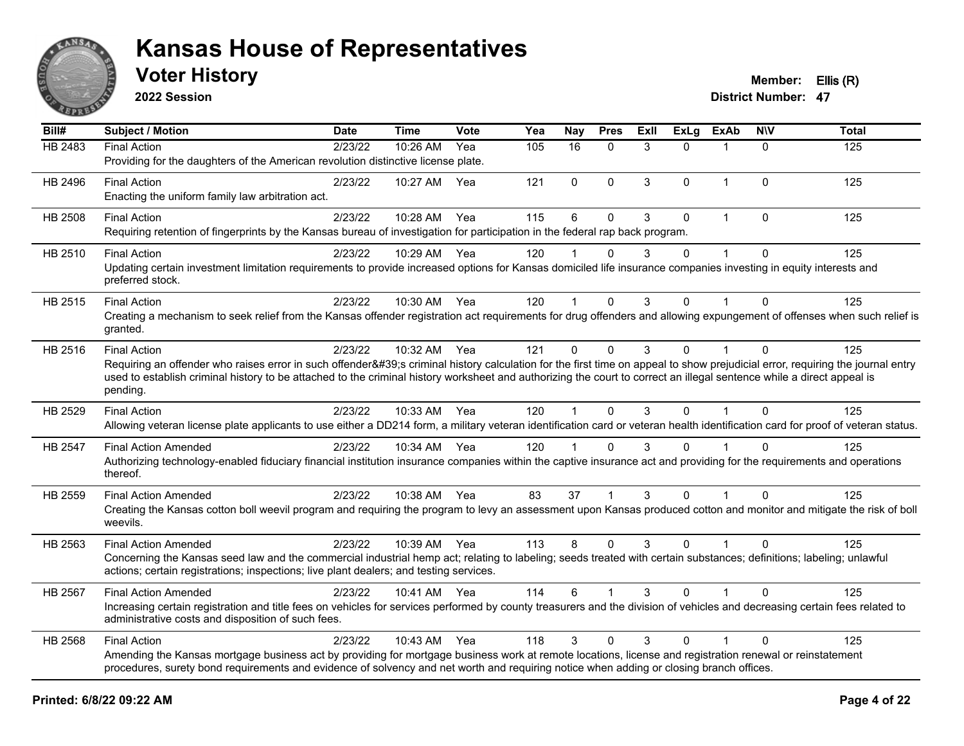

**2022 Session**

**Voter History Member: Ellis (R)** 

| Bill#   | Subject / Motion                                                                                                                                                                                                                                                                                                                                                | <b>Date</b> | Time         | <b>Vote</b> | Yea | <b>Nay</b>   | <b>Pres</b>  | <b>ExII</b> | ExLg         | <b>ExAb</b>  | <b>NIV</b>   | <b>Total</b> |
|---------|-----------------------------------------------------------------------------------------------------------------------------------------------------------------------------------------------------------------------------------------------------------------------------------------------------------------------------------------------------------------|-------------|--------------|-------------|-----|--------------|--------------|-------------|--------------|--------------|--------------|--------------|
| HB 2483 | <b>Final Action</b>                                                                                                                                                                                                                                                                                                                                             | 2/23/22     | 10:26 AM     | Yea         | 105 | 16           | $\mathbf{0}$ | 3           | $\Omega$     |              | $\Omega$     | 125          |
|         | Providing for the daughters of the American revolution distinctive license plate.                                                                                                                                                                                                                                                                               |             |              |             |     |              |              |             |              |              |              |              |
| HB 2496 | <b>Final Action</b>                                                                                                                                                                                                                                                                                                                                             | 2/23/22     | 10:27 AM     | Yea         | 121 | 0            | $\mathbf 0$  | 3           | $\mathbf{0}$ | $\mathbf{1}$ | $\mathbf{0}$ | 125          |
|         | Enacting the uniform family law arbitration act.                                                                                                                                                                                                                                                                                                                |             |              |             |     |              |              |             |              |              |              |              |
| HB 2508 | <b>Final Action</b>                                                                                                                                                                                                                                                                                                                                             | 2/23/22     | 10:28 AM     | Yea         | 115 | 6            | $\mathbf{0}$ | 3           | $\mathbf{0}$ | $\mathbf{1}$ | $\mathbf{0}$ | 125          |
|         | Requiring retention of fingerprints by the Kansas bureau of investigation for participation in the federal rap back program.                                                                                                                                                                                                                                    |             |              |             |     |              |              |             |              |              |              |              |
| HB 2510 | <b>Final Action</b>                                                                                                                                                                                                                                                                                                                                             | 2/23/22     | 10:29 AM Yea |             | 120 |              | $\Omega$     | 3           | $\Omega$     |              | $\Omega$     | 125          |
|         | Updating certain investment limitation requirements to provide increased options for Kansas domiciled life insurance companies investing in equity interests and<br>preferred stock.                                                                                                                                                                            |             |              |             |     |              |              |             |              |              |              |              |
| HB 2515 | <b>Final Action</b>                                                                                                                                                                                                                                                                                                                                             | 2/23/22     | 10:30 AM Yea |             | 120 | $\mathbf 1$  | $\mathbf{0}$ | 3           | $\Omega$     | 1            | $\Omega$     | 125          |
|         | Creating a mechanism to seek relief from the Kansas offender registration act requirements for drug offenders and allowing expungement of offenses when such relief is<br>granted.                                                                                                                                                                              |             |              |             |     |              |              |             |              |              |              |              |
| HB 2516 | <b>Final Action</b>                                                                                                                                                                                                                                                                                                                                             | 2/23/22     | 10:32 AM     | Yea         | 121 | $\Omega$     | $\mathbf{0}$ | 3           | $\Omega$     | 1            | $\mathbf{0}$ | 125          |
|         | Requiring an offender who raises error in such offender's criminal history calculation for the first time on appeal to show prejudicial error, requiring the journal entry<br>used to establish criminal history to be attached to the criminal history worksheet and authorizing the court to correct an illegal sentence while a direct appeal is<br>pending. |             |              |             |     |              |              |             |              |              |              |              |
| HB 2529 | <b>Final Action</b>                                                                                                                                                                                                                                                                                                                                             | 2/23/22     | 10:33 AM Yea |             | 120 | $\mathbf{1}$ | $\Omega$     | 3           | $\Omega$     | $\mathbf{1}$ | $\Omega$     | 125          |
|         | Allowing veteran license plate applicants to use either a DD214 form, a military veteran identification card or veteran health identification card for proof of veteran status.                                                                                                                                                                                 |             |              |             |     |              |              |             |              |              |              |              |
| HB 2547 | <b>Final Action Amended</b>                                                                                                                                                                                                                                                                                                                                     | 2/23/22     | 10:34 AM Yea |             | 120 | 1            | $\Omega$     | 3           | $\mathbf{0}$ |              | $\Omega$     | 125          |
|         | Authorizing technology-enabled fiduciary financial institution insurance companies within the captive insurance act and providing for the requirements and operations<br>thereof.                                                                                                                                                                               |             |              |             |     |              |              |             |              |              |              |              |
| HB 2559 | <b>Final Action Amended</b>                                                                                                                                                                                                                                                                                                                                     | 2/23/22     | 10:38 AM Yea |             | 83  | 37           |              | 3           | $\Omega$     |              | $\Omega$     | 125          |
|         | Creating the Kansas cotton boll weevil program and requiring the program to levy an assessment upon Kansas produced cotton and monitor and mitigate the risk of boll<br>weevils.                                                                                                                                                                                |             |              |             |     |              |              |             |              |              |              |              |
| HB 2563 | <b>Final Action Amended</b>                                                                                                                                                                                                                                                                                                                                     | 2/23/22     | 10:39 AM Yea |             | 113 | 8            | $\Omega$     | 3           | $\Omega$     | $\mathbf{1}$ | $\Omega$     | 125          |
|         | Concerning the Kansas seed law and the commercial industrial hemp act; relating to labeling; seeds treated with certain substances; definitions; labeling; unlawful<br>actions; certain registrations; inspections; live plant dealers; and testing services.                                                                                                   |             |              |             |     |              |              |             |              |              |              |              |
| HB 2567 | <b>Final Action Amended</b>                                                                                                                                                                                                                                                                                                                                     | 2/23/22     | 10:41 AM Yea |             | 114 | 6            |              | 3           | $\mathbf{0}$ |              | $\Omega$     | 125          |
|         | Increasing certain registration and title fees on vehicles for services performed by county treasurers and the division of vehicles and decreasing certain fees related to<br>administrative costs and disposition of such fees.                                                                                                                                |             |              |             |     |              |              |             |              |              |              |              |
| HB 2568 | <b>Final Action</b>                                                                                                                                                                                                                                                                                                                                             | 2/23/22     | 10:43 AM     | Yea         | 118 | 3            | $\mathbf{0}$ | 3           | $\Omega$     | $\mathbf 1$  | $\mathbf{0}$ | 125          |
|         | Amending the Kansas mortgage business act by providing for mortgage business work at remote locations, license and registration renewal or reinstatement<br>procedures, surety bond requirements and evidence of solvency and net worth and requiring notice when adding or closing branch offices.                                                             |             |              |             |     |              |              |             |              |              |              |              |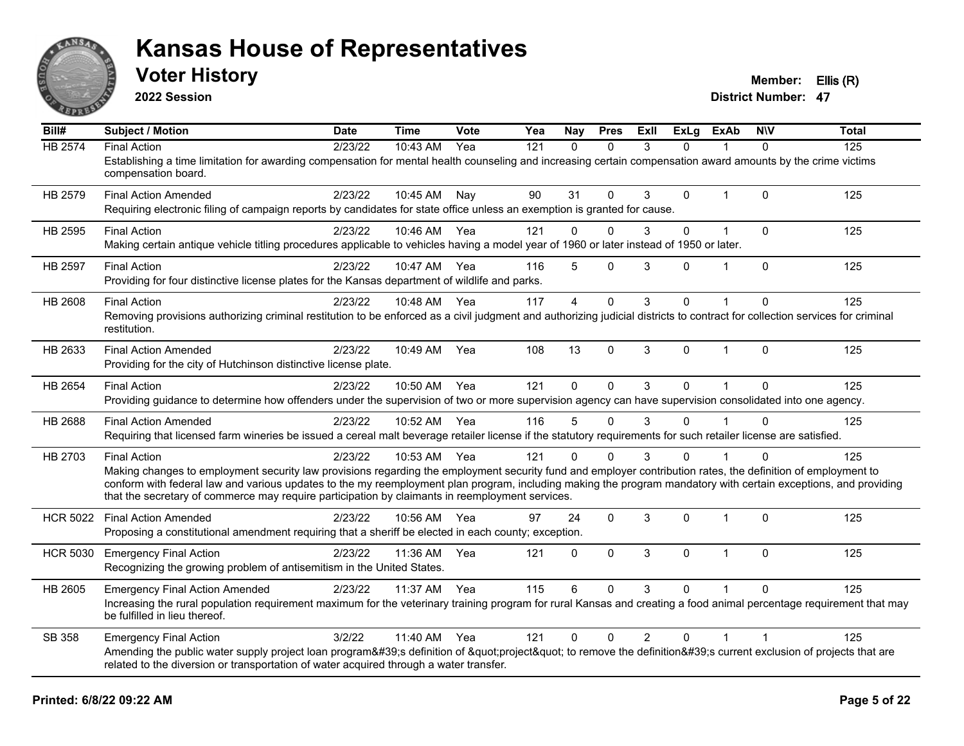

**2022 Session**

**Voter History Member: Ellis (R)** 

| $\overline{BiII#}$ | Subject / Motion                                                                                                                                                                                                                                                                                                                                                                                                                                          | <b>Date</b> | <b>Time</b>  | Vote | Yea | Nay            | <b>Pres</b>  | <b>ExII</b>    | <b>ExLg</b> | <b>ExAb</b>    | <b>NIV</b>   | <b>Total</b> |
|--------------------|-----------------------------------------------------------------------------------------------------------------------------------------------------------------------------------------------------------------------------------------------------------------------------------------------------------------------------------------------------------------------------------------------------------------------------------------------------------|-------------|--------------|------|-----|----------------|--------------|----------------|-------------|----------------|--------------|--------------|
| <b>HB 2574</b>     | <b>Final Action</b><br>Establishing a time limitation for awarding compensation for mental health counseling and increasing certain compensation award amounts by the crime victims<br>compensation board.                                                                                                                                                                                                                                                | 2/23/22     | 10:43 AM     | Yea  | 121 | $\Omega$       | $\Omega$     | 3              | 0           |                | $\Omega$     | 125          |
| HB 2579            | <b>Final Action Amended</b><br>Requiring electronic filing of campaign reports by candidates for state office unless an exemption is granted for cause.                                                                                                                                                                                                                                                                                                   | 2/23/22     | 10:45 AM     | Nav  | 90  | 31             | $\Omega$     | 3              | 0           | $\overline{1}$ | $\Omega$     | 125          |
| HB 2595            | <b>Final Action</b><br>Making certain antique vehicle titling procedures applicable to vehicles having a model year of 1960 or later instead of 1950 or later.                                                                                                                                                                                                                                                                                            | 2/23/22     | 10:46 AM     | Yea  | 121 | $\mathbf{0}$   | $\Omega$     | 3              | 0           | $\mathbf{1}$   | $\Omega$     | 125          |
| HB 2597            | <b>Final Action</b><br>Providing for four distinctive license plates for the Kansas department of wildlife and parks.                                                                                                                                                                                                                                                                                                                                     | 2/23/22     | 10:47 AM Yea |      | 116 | 5              | $\mathbf 0$  | 3              | 0           | 1              | $\mathbf 0$  | 125          |
| HB 2608            | <b>Final Action</b><br>Removing provisions authorizing criminal restitution to be enforced as a civil judgment and authorizing judicial districts to contract for collection services for criminal<br>restitution.                                                                                                                                                                                                                                        | 2/23/22     | 10:48 AM     | Yea  | 117 | $\overline{4}$ | $\mathbf 0$  | 3              | 0           |                | $\Omega$     | 125          |
| HB 2633            | <b>Final Action Amended</b><br>Providing for the city of Hutchinson distinctive license plate.                                                                                                                                                                                                                                                                                                                                                            | 2/23/22     | 10:49 AM     | Yea  | 108 | 13             | $\mathbf 0$  | 3              | 0           | 1              | $\mathbf{0}$ | 125          |
| HB 2654            | <b>Final Action</b><br>Providing guidance to determine how offenders under the supervision of two or more supervision agency can have supervision consolidated into one agency.                                                                                                                                                                                                                                                                           | 2/23/22     | 10:50 AM Yea |      | 121 | $\Omega$       | $\mathbf 0$  | 3              | $\Omega$    | $\overline{1}$ | $\Omega$     | 125          |
| HB 2688            | <b>Final Action Amended</b><br>Requiring that licensed farm wineries be issued a cereal malt beverage retailer license if the statutory requirements for such retailer license are satisfied.                                                                                                                                                                                                                                                             | 2/23/22     | 10:52 AM     | Yea  | 116 | 5              | $\Omega$     | 3              | 0           |                | $\Omega$     | 125          |
| HB 2703            | <b>Final Action</b><br>Making changes to employment security law provisions regarding the employment security fund and employer contribution rates, the definition of employment to<br>conform with federal law and various updates to the my reemployment plan program, including making the program mandatory with certain exceptions, and providing<br>that the secretary of commerce may require participation by claimants in reemployment services. | 2/23/22     | 10:53 AM Yea |      | 121 | $\Omega$       | $\Omega$     | 3              | 0           |                | $\Omega$     | 125          |
| <b>HCR 5022</b>    | <b>Final Action Amended</b><br>Proposing a constitutional amendment requiring that a sheriff be elected in each county; exception.                                                                                                                                                                                                                                                                                                                        | 2/23/22     | 10:56 AM     | Yea  | 97  | 24             | $\mathbf{0}$ | 3              | 0           | $\overline{1}$ | $\Omega$     | 125          |
| <b>HCR 5030</b>    | <b>Emergency Final Action</b><br>Recognizing the growing problem of antisemitism in the United States.                                                                                                                                                                                                                                                                                                                                                    | 2/23/22     | 11:36 AM     | Yea  | 121 | $\mathbf 0$    | $\Omega$     | 3              | $\Omega$    | $\overline{1}$ | $\Omega$     | 125          |
| HB 2605            | <b>Emergency Final Action Amended</b><br>Increasing the rural population requirement maximum for the veterinary training program for rural Kansas and creating a food animal percentage requirement that may<br>be fulfilled in lieu thereof.                                                                                                                                                                                                             | 2/23/22     | 11:37 AM     | Yea  | 115 | 6              | $\Omega$     | 3              | 0           |                | $\Omega$     | 125          |
| SB 358             | <b>Emergency Final Action</b><br>Amending the public water supply project loan program's definition of "project" to remove the definition's current exclusion of projects that are<br>related to the diversion or transportation of water acquired through a water transfer.                                                                                                                                                                              | 3/2/22      | 11:40 AM     | Yea  | 121 | $\mathbf{0}$   | $\mathbf 0$  | $\overline{2}$ | 0           |                |              | 125          |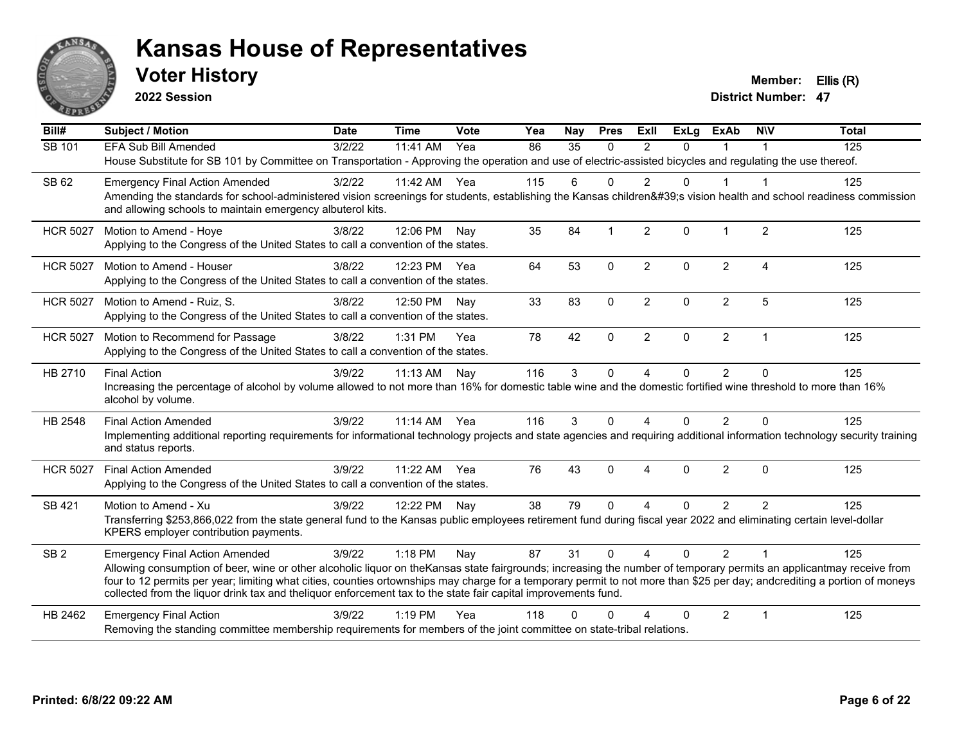

**2022 Session**

**Voter History Member: Ellis (R)** 

| Bill#           | <b>Subject / Motion</b>                                                                                                                                                                                                                                                                                                                           | <b>Date</b> | <b>Time</b>  | Vote | Yea | Nay             | <b>Pres</b>  | Exll           | $\overline{Ex}$ Lg | <b>ExAb</b>    | <b>NIV</b>     | <b>Total</b> |
|-----------------|---------------------------------------------------------------------------------------------------------------------------------------------------------------------------------------------------------------------------------------------------------------------------------------------------------------------------------------------------|-------------|--------------|------|-----|-----------------|--------------|----------------|--------------------|----------------|----------------|--------------|
| SB 101          | <b>EFA Sub Bill Amended</b>                                                                                                                                                                                                                                                                                                                       | 3/2/22      | 11:41 AM     | Yea  | 86  | $\overline{35}$ | $\mathbf{0}$ | 2              | $\Omega$           |                |                | 125          |
|                 | House Substitute for SB 101 by Committee on Transportation - Approving the operation and use of electric-assisted bicycles and regulating the use thereof.                                                                                                                                                                                        |             |              |      |     |                 |              |                |                    |                |                |              |
| SB 62           | <b>Emergency Final Action Amended</b>                                                                                                                                                                                                                                                                                                             | 3/2/22      | 11:42 AM     | Yea  | 115 | 6               | $\Omega$     | $\mathfrak{p}$ | $\Omega$           |                |                | 125          |
|                 | Amending the standards for school-administered vision screenings for students, establishing the Kansas children's vision health and school readiness commission<br>and allowing schools to maintain emergency albuterol kits.                                                                                                                     |             |              |      |     |                 |              |                |                    |                |                |              |
| <b>HCR 5027</b> | Motion to Amend - Hoye                                                                                                                                                                                                                                                                                                                            | 3/8/22      | 12:06 PM     | Nay  | 35  | 84              |              | $\overline{2}$ | $\Omega$           | $\overline{1}$ | $\overline{2}$ | 125          |
|                 | Applying to the Congress of the United States to call a convention of the states.                                                                                                                                                                                                                                                                 |             |              |      |     |                 |              |                |                    |                |                |              |
| <b>HCR 5027</b> | Motion to Amend - Houser                                                                                                                                                                                                                                                                                                                          | 3/8/22      | 12:23 PM Yea |      | 64  | 53              | $\Omega$     | $\overline{2}$ | $\Omega$           | $\overline{2}$ | 4              | 125          |
|                 | Applying to the Congress of the United States to call a convention of the states.                                                                                                                                                                                                                                                                 |             |              |      |     |                 |              |                |                    |                |                |              |
| <b>HCR 5027</b> | Motion to Amend - Ruiz, S.                                                                                                                                                                                                                                                                                                                        | 3/8/22      | 12:50 PM     | Nav  | 33  | 83              | $\Omega$     | 2              | $\Omega$           | $\overline{2}$ | 5              | 125          |
|                 | Applying to the Congress of the United States to call a convention of the states.                                                                                                                                                                                                                                                                 |             |              |      |     |                 |              |                |                    |                |                |              |
| <b>HCR 5027</b> | Motion to Recommend for Passage                                                                                                                                                                                                                                                                                                                   | 3/8/22      | $1:31$ PM    | Yea  | 78  | 42              | $\mathbf 0$  | $\overline{2}$ | $\Omega$           | $\overline{2}$ | $\overline{1}$ | 125          |
|                 | Applying to the Congress of the United States to call a convention of the states.                                                                                                                                                                                                                                                                 |             |              |      |     |                 |              |                |                    |                |                |              |
| HB 2710         | <b>Final Action</b>                                                                                                                                                                                                                                                                                                                               | 3/9/22      | 11:13 AM     | Nay  | 116 | 3               | $\mathbf 0$  | 4              | 0                  | $\overline{2}$ | $\Omega$       | 125          |
|                 | Increasing the percentage of alcohol by volume allowed to not more than 16% for domestic table wine and the domestic fortified wine threshold to more than 16%<br>alcohol by volume.                                                                                                                                                              |             |              |      |     |                 |              |                |                    |                |                |              |
| HB 2548         | <b>Final Action Amended</b>                                                                                                                                                                                                                                                                                                                       | 3/9/22      | 11:14 AM     | Yea  | 116 | 3               | $\Omega$     | 4              | $\Omega$           | 2              | $\Omega$       | 125          |
|                 | Implementing additional reporting requirements for informational technology projects and state agencies and requiring additional information technology security training<br>and status reports.                                                                                                                                                  |             |              |      |     |                 |              |                |                    |                |                |              |
| <b>HCR 5027</b> | <b>Final Action Amended</b>                                                                                                                                                                                                                                                                                                                       | 3/9/22      | 11:22 AM     | Yea  | 76  | 43              | $\Omega$     | 4              | $\Omega$           | $\overline{2}$ | $\mathbf{0}$   | 125          |
|                 | Applying to the Congress of the United States to call a convention of the states.                                                                                                                                                                                                                                                                 |             |              |      |     |                 |              |                |                    |                |                |              |
| SB 421          | Motion to Amend - Xu                                                                                                                                                                                                                                                                                                                              | 3/9/22      | 12:22 PM Nay |      | 38  | 79              | $\Omega$     | 4              | $\Omega$           | 2              | $\mathfrak{p}$ | 125          |
|                 | Transferring \$253,866,022 from the state general fund to the Kansas public employees retirement fund during fiscal year 2022 and eliminating certain level-dollar                                                                                                                                                                                |             |              |      |     |                 |              |                |                    |                |                |              |
|                 | KPERS employer contribution payments.                                                                                                                                                                                                                                                                                                             |             |              |      |     |                 |              |                |                    |                |                |              |
| SB <sub>2</sub> | <b>Emergency Final Action Amended</b>                                                                                                                                                                                                                                                                                                             | 3/9/22      | $1:18$ PM    | Nay  | 87  | 31              | $\Omega$     | $\overline{4}$ | $\Omega$           | $\mathcal{P}$  | $\overline{1}$ | 125          |
|                 | Allowing consumption of beer, wine or other alcoholic liquor on theKansas state fairgrounds; increasing the number of temporary permits an applicantmay receive from<br>four to 12 permits per year; limiting what cities, counties ortownships may charge for a temporary permit to not more than \$25 per day; andcrediting a portion of moneys |             |              |      |     |                 |              |                |                    |                |                |              |
|                 | collected from the liquor drink tax and the liquor enforcement tax to the state fair capital improvements fund.                                                                                                                                                                                                                                   |             |              |      |     |                 |              |                |                    |                |                |              |
| HB 2462         | <b>Emergency Final Action</b>                                                                                                                                                                                                                                                                                                                     | 3/9/22      | 1:19 PM      | Yea  | 118 | ∩               | ∩            |                | 0                  | 2              | -1             | 125          |
|                 | Removing the standing committee membership requirements for members of the joint committee on state-tribal relations.                                                                                                                                                                                                                             |             |              |      |     |                 |              |                |                    |                |                |              |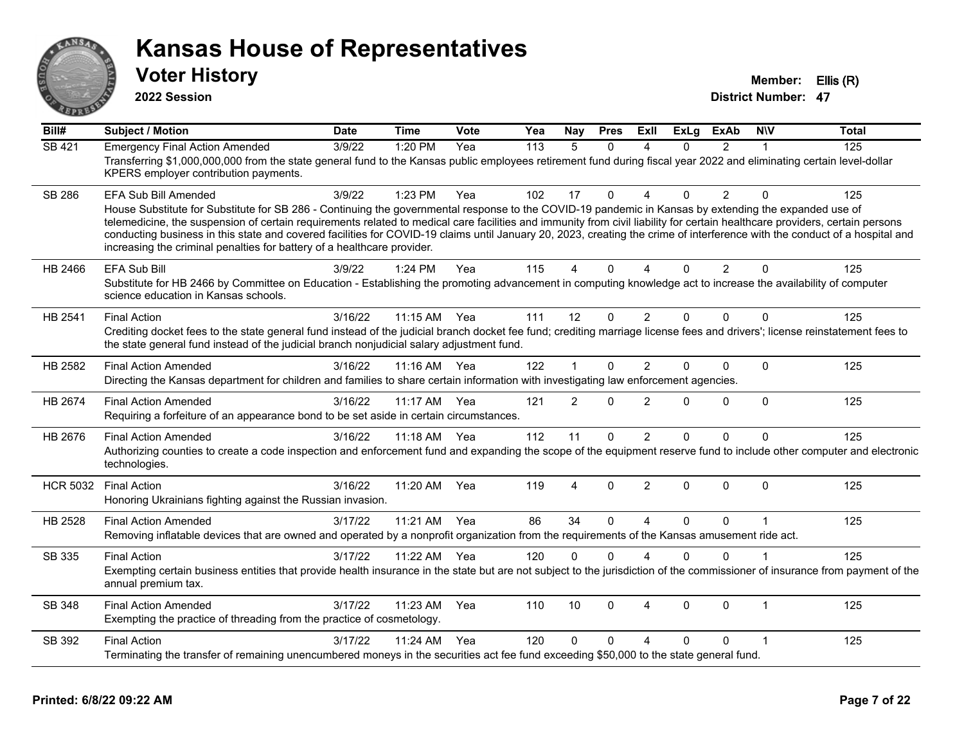

**2022 Session**

**Voter History Member: Ellis (R)** 

| $\overline{BiII#}$ | <b>Subject / Motion</b>                                                                                                                                                                                                                                                                                                                                                                                                                                                                                                                                                                                                      | <b>Date</b> | <b>Time</b> | Vote | Yea | Nay            | <b>Pres</b>  | ExII                     | <b>ExLg</b> | <b>ExAb</b>    | <b>NIV</b>     | <b>Total</b> |
|--------------------|------------------------------------------------------------------------------------------------------------------------------------------------------------------------------------------------------------------------------------------------------------------------------------------------------------------------------------------------------------------------------------------------------------------------------------------------------------------------------------------------------------------------------------------------------------------------------------------------------------------------------|-------------|-------------|------|-----|----------------|--------------|--------------------------|-------------|----------------|----------------|--------------|
| <b>SB 421</b>      | <b>Emergency Final Action Amended</b><br>Transferring \$1,000,000,000 from the state general fund to the Kansas public employees retirement fund during fiscal year 2022 and eliminating certain level-dollar<br>KPERS employer contribution payments.                                                                                                                                                                                                                                                                                                                                                                       | 3/9/22      | 1:20 PM     | Yea  | 113 | 5              | $\Omega$     | 4                        | 0           | $\overline{2}$ |                | 125          |
| <b>SB 286</b>      | <b>EFA Sub Bill Amended</b><br>House Substitute for Substitute for SB 286 - Continuing the governmental response to the COVID-19 pandemic in Kansas by extending the expanded use of<br>telemedicine, the suspension of certain requirements related to medical care facilities and immunity from civil liability for certain healthcare providers, certain persons<br>conducting business in this state and covered facilities for COVID-19 claims until January 20, 2023, creating the crime of interference with the conduct of a hospital and<br>increasing the criminal penalties for battery of a healthcare provider. | 3/9/22      | 1:23 PM     | Yea  | 102 | 17             | $\Omega$     | $\Delta$                 | 0           | $\overline{2}$ | $\Omega$       | 125          |
| HB 2466            | <b>EFA Sub Bill</b><br>Substitute for HB 2466 by Committee on Education - Establishing the promoting advancement in computing knowledge act to increase the availability of computer<br>science education in Kansas schools.                                                                                                                                                                                                                                                                                                                                                                                                 | 3/9/22      | 1:24 PM     | Yea  | 115 | 4              | $\Omega$     | $\boldsymbol{\varDelta}$ | $\Omega$    | $\overline{2}$ | $\Omega$       | 125          |
| HB 2541            | <b>Final Action</b><br>Crediting docket fees to the state general fund instead of the judicial branch docket fee fund; crediting marriage license fees and drivers'; license reinstatement fees to<br>the state general fund instead of the judicial branch nonjudicial salary adjustment fund.                                                                                                                                                                                                                                                                                                                              | 3/16/22     | 11:15 AM    | Yea  | 111 | 12             | $\Omega$     | $\overline{2}$           | $\Omega$    | $\Omega$       | $\Omega$       | 125          |
| HB 2582            | <b>Final Action Amended</b><br>Directing the Kansas department for children and families to share certain information with investigating law enforcement agencies.                                                                                                                                                                                                                                                                                                                                                                                                                                                           | 3/16/22     | $11:16$ AM  | Yea  | 122 | $\mathbf 1$    | $\Omega$     | $\overline{2}$           | $\Omega$    | $\mathbf 0$    | $\Omega$       | 125          |
| HB 2674            | <b>Final Action Amended</b><br>Requiring a forfeiture of an appearance bond to be set aside in certain circumstances.                                                                                                                                                                                                                                                                                                                                                                                                                                                                                                        | 3/16/22     | 11:17 AM    | Yea  | 121 | $\overline{2}$ | $\mathbf{0}$ | $\overline{2}$           | 0           | $\mathbf 0$    | $\Omega$       | 125          |
| HB 2676            | <b>Final Action Amended</b><br>Authorizing counties to create a code inspection and enforcement fund and expanding the scope of the equipment reserve fund to include other computer and electronic<br>technologies.                                                                                                                                                                                                                                                                                                                                                                                                         | 3/16/22     | 11:18 AM    | Yea  | 112 | 11             | $\Omega$     | $\overline{2}$           | 0           | 0              | $\mathbf{0}$   | 125          |
| <b>HCR 5032</b>    | <b>Final Action</b><br>Honoring Ukrainians fighting against the Russian invasion.                                                                                                                                                                                                                                                                                                                                                                                                                                                                                                                                            | 3/16/22     | 11:20 AM    | Yea  | 119 | 4              | $\mathbf 0$  | $\overline{2}$           | $\Omega$    | 0              | $\Omega$       | 125          |
| HB 2528            | <b>Final Action Amended</b><br>Removing inflatable devices that are owned and operated by a nonprofit organization from the requirements of the Kansas amusement ride act.                                                                                                                                                                                                                                                                                                                                                                                                                                                   | 3/17/22     | 11:21 AM    | Yea  | 86  | 34             | $\Omega$     | $\boldsymbol{\Delta}$    | $\Omega$    | $\Omega$       | $\overline{1}$ | 125          |
| SB 335             | <b>Final Action</b><br>Exempting certain business entities that provide health insurance in the state but are not subject to the jurisdiction of the commissioner of insurance from payment of the<br>annual premium tax.                                                                                                                                                                                                                                                                                                                                                                                                    | 3/17/22     | 11:22 AM    | Yea  | 120 | $\Omega$       | $\Omega$     | $\boldsymbol{\varDelta}$ | $\Omega$    | $\Omega$       |                | 125          |
| SB 348             | <b>Final Action Amended</b><br>Exempting the practice of threading from the practice of cosmetology.                                                                                                                                                                                                                                                                                                                                                                                                                                                                                                                         | 3/17/22     | 11:23 AM    | Yea  | 110 | 10             | $\Omega$     | $\overline{4}$           | $\Omega$    | $\mathbf 0$    | $\mathbf{1}$   | 125          |
| SB 392             | <b>Final Action</b><br>Terminating the transfer of remaining unencumbered moneys in the securities act fee fund exceeding \$50,000 to the state general fund.                                                                                                                                                                                                                                                                                                                                                                                                                                                                | 3/17/22     | 11:24 AM    | Yea  | 120 | $\Omega$       | $\Omega$     | $\Delta$                 | 0           | 0              |                | 125          |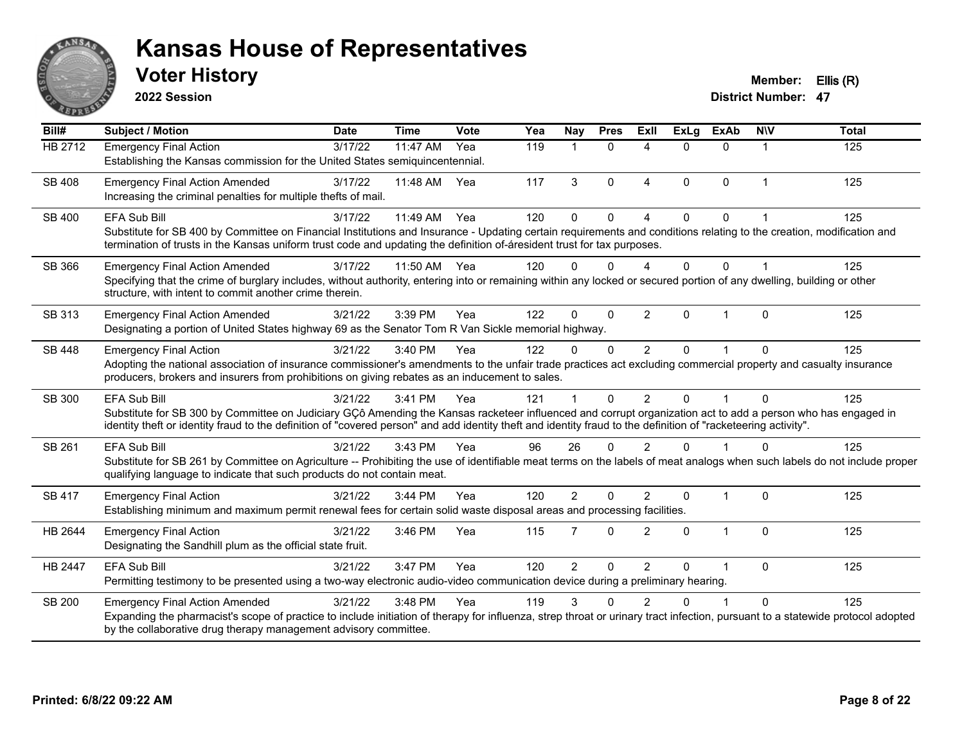

**2022 Session**

**Voter History Member: Ellis (R)** 

| Bill#          | <b>Subject / Motion</b>                                                                                                                                                                                                                                                                                                                               | <b>Date</b> | <b>Time</b> | Vote | Yea | Nay            | <b>Pres</b>  | ExIl                   | <b>ExLg</b>  | <b>ExAb</b>  | <b>NIV</b>     | <b>Total</b> |
|----------------|-------------------------------------------------------------------------------------------------------------------------------------------------------------------------------------------------------------------------------------------------------------------------------------------------------------------------------------------------------|-------------|-------------|------|-----|----------------|--------------|------------------------|--------------|--------------|----------------|--------------|
| <b>HB 2712</b> | <b>Emergency Final Action</b><br>Establishing the Kansas commission for the United States semiquincentennial.                                                                                                                                                                                                                                         | 3/17/22     | 11:47 AM    | Yea  | 119 |                | $\Omega$     | $\Delta$               | $\Omega$     | $\Omega$     | 1              | 125          |
| SB 408         | <b>Emergency Final Action Amended</b><br>Increasing the criminal penalties for multiple thefts of mail.                                                                                                                                                                                                                                               | 3/17/22     | 11:48 AM    | Yea  | 117 | 3              | $\Omega$     | $\boldsymbol{\Lambda}$ | $\Omega$     | $\mathbf{0}$ | $\overline{1}$ | 125          |
| SB 400         | <b>EFA Sub Bill</b><br>Substitute for SB 400 by Committee on Financial Institutions and Insurance - Updating certain requirements and conditions relating to the creation, modification and<br>termination of trusts in the Kansas uniform trust code and updating the definition of-áresident trust for tax purposes.                                | 3/17/22     | 11:49 AM    | Yea  | 120 | $\Omega$       | $\Omega$     |                        | $\Omega$     | 0            |                | 125          |
| SB 366         | <b>Emergency Final Action Amended</b><br>Specifying that the crime of burglary includes, without authority, entering into or remaining within any locked or secured portion of any dwelling, building or other<br>structure, with intent to commit another crime therein.                                                                             | 3/17/22     | 11:50 AM    | Yea  | 120 | 0              | $\Omega$     | $\Delta$               | $\Omega$     | 0            |                | 125          |
| SB 313         | <b>Emergency Final Action Amended</b><br>Designating a portion of United States highway 69 as the Senator Tom R Van Sickle memorial highway.                                                                                                                                                                                                          | 3/21/22     | 3:39 PM     | Yea  | 122 | $\Omega$       | $\Omega$     | $\overline{2}$         | $\Omega$     | 1            | $\Omega$       | 125          |
| SB 448         | <b>Emergency Final Action</b><br>Adopting the national association of insurance commissioner's amendments to the unfair trade practices act excluding commercial property and casualty insurance<br>producers, brokers and insurers from prohibitions on giving rebates as an inducement to sales.                                                    | 3/21/22     | 3:40 PM     | Yea  | 122 | $\Omega$       | $\Omega$     | $\overline{2}$         | $\Omega$     |              | $\Omega$       | 125          |
| SB 300         | <b>EFA Sub Bill</b><br>Substitute for SB 300 by Committee on Judiciary GÇô Amending the Kansas racketeer influenced and corrupt organization act to add a person who has engaged in<br>identity theft or identity fraud to the definition of "covered person" and add identity theft and identity fraud to the definition of "racketeering activity". | 3/21/22     | 3:41 PM     | Yea  | 121 |                | $\Omega$     | $\mathcal{P}$          | $\Omega$     | 1            | $\Omega$       | 125          |
| SB 261         | <b>EFA Sub Bill</b><br>Substitute for SB 261 by Committee on Agriculture -- Prohibiting the use of identifiable meat terms on the labels of meat analogs when such labels do not include proper<br>qualifying language to indicate that such products do not contain meat.                                                                            | 3/21/22     | 3:43 PM     | Yea  | 96  | 26             | $\Omega$     | $\overline{2}$         | $\Omega$     |              | $\Omega$       | 125          |
| SB 417         | <b>Emergency Final Action</b><br>Establishing minimum and maximum permit renewal fees for certain solid waste disposal areas and processing facilities.                                                                                                                                                                                               | 3/21/22     | 3:44 PM     | Yea  | 120 | $\overline{2}$ | $\Omega$     | $\mathcal{P}$          | $\mathbf{0}$ | 1            | $\mathbf{0}$   | 125          |
| HB 2644        | <b>Emergency Final Action</b><br>Designating the Sandhill plum as the official state fruit.                                                                                                                                                                                                                                                           | 3/21/22     | 3:46 PM     | Yea  | 115 | 7              | $\mathbf{0}$ | $\overline{2}$         | $\mathbf{0}$ | $\mathbf{1}$ | $\Omega$       | 125          |
| HB 2447        | <b>EFA Sub Bill</b><br>Permitting testimony to be presented using a two-way electronic audio-video communication device during a preliminary hearing.                                                                                                                                                                                                 | 3/21/22     | 3:47 PM     | Yea  | 120 | $\overline{2}$ | $\mathbf 0$  | $\overline{2}$         | $\Omega$     | 1            | $\Omega$       | 125          |
| <b>SB 200</b>  | <b>Emergency Final Action Amended</b><br>Expanding the pharmacist's scope of practice to include initiation of therapy for influenza, strep throat or urinary tract infection, pursuant to a statewide protocol adopted<br>by the collaborative drug therapy management advisory committee.                                                           | 3/21/22     | 3:48 PM     | Yea  | 119 | 3              | $\Omega$     | 2                      | U            |              | $\Omega$       | 125          |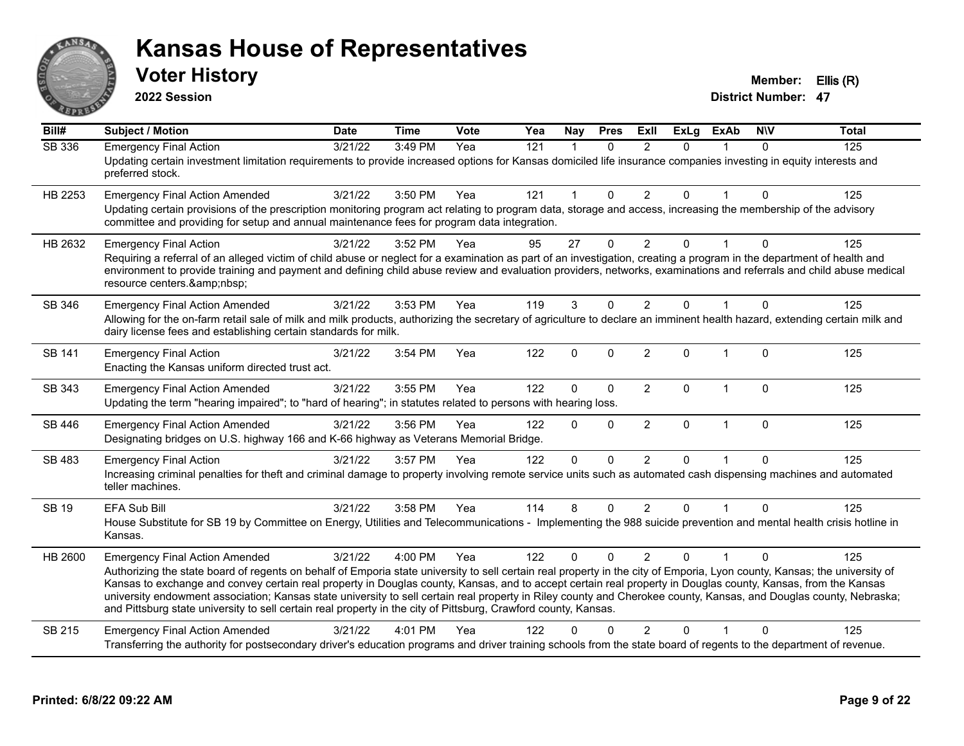

**2022 Session**

**Voter History Member: Ellis (R)** 

| Bill#         | <b>Subject / Motion</b>                                                                                                                                                                                                                                                                                                                                                                                                                                                                                                                                                                                                                                                      | <b>Date</b>      | <b>Time</b> | Vote | Yea | Nay          | <b>Pres</b>  | Exll           | <b>ExLg</b>  | <b>ExAb</b>  | <b>NIV</b>  | <b>Total</b> |
|---------------|------------------------------------------------------------------------------------------------------------------------------------------------------------------------------------------------------------------------------------------------------------------------------------------------------------------------------------------------------------------------------------------------------------------------------------------------------------------------------------------------------------------------------------------------------------------------------------------------------------------------------------------------------------------------------|------------------|-------------|------|-----|--------------|--------------|----------------|--------------|--------------|-------------|--------------|
| SB 336        | <b>Emergency Final Action</b><br>Updating certain investment limitation requirements to provide increased options for Kansas domiciled life insurance companies investing in equity interests and<br>preferred stock.                                                                                                                                                                                                                                                                                                                                                                                                                                                        | $\sqrt{3}/21/22$ | 3:49 PM     | Yea  | 121 | $\mathbf{1}$ | $\Omega$     | 2              | $\Omega$     |              | $\Omega$    | 125          |
| HB 2253       | <b>Emergency Final Action Amended</b><br>Updating certain provisions of the prescription monitoring program act relating to program data, storage and access, increasing the membership of the advisory<br>committee and providing for setup and annual maintenance fees for program data integration.                                                                                                                                                                                                                                                                                                                                                                       | 3/21/22          | 3:50 PM     | Yea  | 121 | $\mathbf 1$  | $\mathbf 0$  | $\overline{2}$ | 0            |              | $\mathbf 0$ | 125          |
| HB 2632       | <b>Emergency Final Action</b><br>Requiring a referral of an alleged victim of child abuse or neglect for a examination as part of an investigation, creating a program in the department of health and<br>environment to provide training and payment and defining child abuse review and evaluation providers, networks, examinations and referrals and child abuse medical<br>resource centers.                                                                                                                                                                                                                                                                            | 3/21/22          | 3:52 PM     | Yea  | 95  | 27           | $\Omega$     | $\overline{2}$ | 0            |              | $\Omega$    | 125          |
| SB 346        | <b>Emergency Final Action Amended</b><br>Allowing for the on-farm retail sale of milk and milk products, authorizing the secretary of agriculture to declare an imminent health hazard, extending certain milk and<br>dairy license fees and establishing certain standards for milk.                                                                                                                                                                                                                                                                                                                                                                                        | 3/21/22          | 3:53 PM     | Yea  | 119 | 3            | $\Omega$     | 2              | $\Omega$     |              | $\Omega$    | 125          |
| <b>SB 141</b> | <b>Emergency Final Action</b><br>Enacting the Kansas uniform directed trust act.                                                                                                                                                                                                                                                                                                                                                                                                                                                                                                                                                                                             | 3/21/22          | 3:54 PM     | Yea  | 122 | $\mathbf 0$  | $\Omega$     | $\overline{2}$ | $\mathbf{0}$ | $\mathbf 1$  | $\Omega$    | 125          |
| SB 343        | <b>Emergency Final Action Amended</b><br>Updating the term "hearing impaired"; to "hard of hearing"; in statutes related to persons with hearing loss.                                                                                                                                                                                                                                                                                                                                                                                                                                                                                                                       | 3/21/22          | 3:55 PM     | Yea  | 122 | $\Omega$     | $\Omega$     | $\overline{2}$ | 0            | 1            | $\Omega$    | 125          |
| SB 446        | <b>Emergency Final Action Amended</b><br>Designating bridges on U.S. highway 166 and K-66 highway as Veterans Memorial Bridge.                                                                                                                                                                                                                                                                                                                                                                                                                                                                                                                                               | 3/21/22          | 3:56 PM     | Yea  | 122 | $\Omega$     | $\mathbf{0}$ | $\overline{2}$ | $\Omega$     | $\mathbf{1}$ | $\mathbf 0$ | 125          |
| SB 483        | <b>Emergency Final Action</b><br>Increasing criminal penalties for theft and criminal damage to property involving remote service units such as automated cash dispensing machines and automated<br>teller machines.                                                                                                                                                                                                                                                                                                                                                                                                                                                         | 3/21/22          | 3:57 PM     | Yea  | 122 | $\Omega$     | $\Omega$     | $\overline{2}$ | $\Omega$     |              | $\Omega$    | 125          |
| SB 19         | EFA Sub Bill<br>House Substitute for SB 19 by Committee on Energy, Utilities and Telecommunications - Implementing the 988 suicide prevention and mental health crisis hotline in<br>Kansas.                                                                                                                                                                                                                                                                                                                                                                                                                                                                                 | 3/21/22          | 3:58 PM     | Yea  | 114 | 8            | $\Omega$     | $\overline{2}$ | $\Omega$     |              | $\Omega$    | 125          |
| HB 2600       | <b>Emergency Final Action Amended</b><br>Authorizing the state board of regents on behalf of Emporia state university to sell certain real property in the city of Emporia, Lyon county, Kansas; the university of<br>Kansas to exchange and convey certain real property in Douglas county, Kansas, and to accept certain real property in Douglas county, Kansas, from the Kansas<br>university endowment association; Kansas state university to sell certain real property in Riley county and Cherokee county, Kansas, and Douglas county, Nebraska;<br>and Pittsburg state university to sell certain real property in the city of Pittsburg, Crawford county, Kansas. | 3/21/22          | 4:00 PM     | Yea  | 122 | $\Omega$     | $\Omega$     | $\mathcal{P}$  | $\Omega$     |              | $\Omega$    | 125          |
| SB 215        | <b>Emergency Final Action Amended</b><br>Transferring the authority for postsecondary driver's education programs and driver training schools from the state board of regents to the department of revenue.                                                                                                                                                                                                                                                                                                                                                                                                                                                                  | 3/21/22          | 4:01 PM     | Yea  | 122 | n            |              | 2              | 0            |              | $\Omega$    | 125          |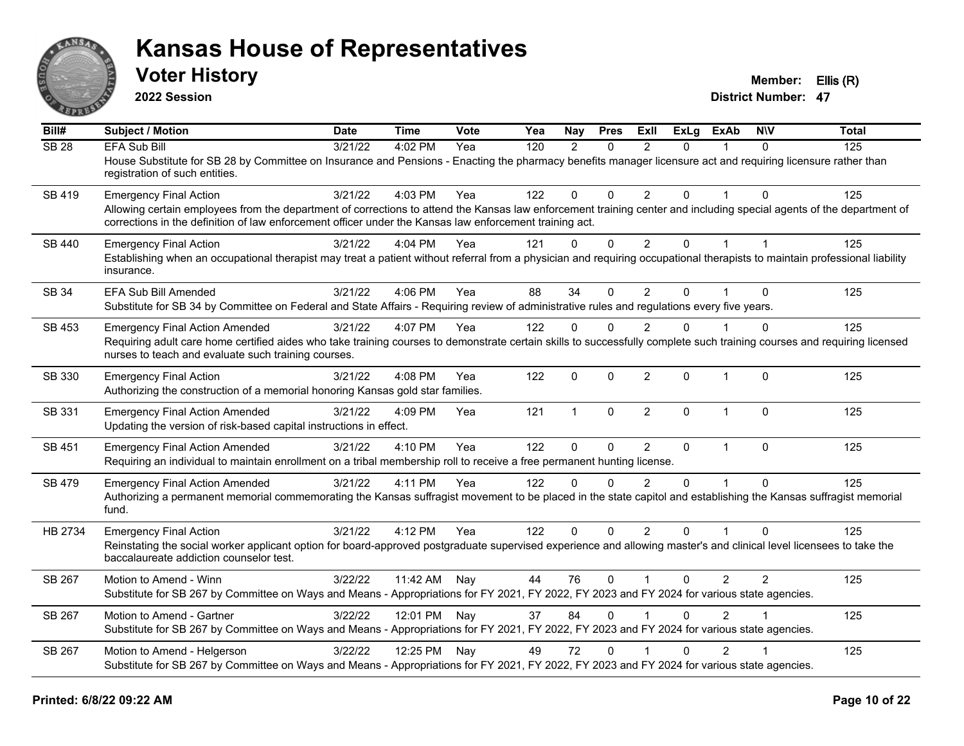

**2022 Session**

**Voter History Member: Ellis (R)** 

| Bill#             | <b>Subject / Motion</b>                                                                                                                                                                                                                                                         | <b>Date</b> | Time         | <b>Vote</b> | Yea | Nay           | <b>Pres</b>  | ExII                    | <b>ExLg</b>  | <b>ExAb</b>    | <b>NIV</b>     | <b>Total</b> |
|-------------------|---------------------------------------------------------------------------------------------------------------------------------------------------------------------------------------------------------------------------------------------------------------------------------|-------------|--------------|-------------|-----|---------------|--------------|-------------------------|--------------|----------------|----------------|--------------|
| $\overline{SB28}$ | <b>EFA Sub Bill</b>                                                                                                                                                                                                                                                             | 3/21/22     | 4:02 PM      | Yea         | 120 | $\mathcal{P}$ | $\Omega$     | $\mathcal{P}$           | $\Omega$     |                | $\Omega$       | 125          |
|                   | House Substitute for SB 28 by Committee on Insurance and Pensions - Enacting the pharmacy benefits manager licensure act and requiring licensure rather than<br>registration of such entities.                                                                                  |             |              |             |     |               |              |                         |              |                |                |              |
| SB 419            | <b>Emergency Final Action</b>                                                                                                                                                                                                                                                   | 3/21/22     | 4:03 PM      | Yea         | 122 | $\mathbf 0$   | $\Omega$     | 2                       | $\Omega$     |                | $\Omega$       | 125          |
|                   | Allowing certain employees from the department of corrections to attend the Kansas law enforcement training center and including special agents of the department of<br>corrections in the definition of law enforcement officer under the Kansas law enforcement training act. |             |              |             |     |               |              |                         |              |                |                |              |
| SB 440            | <b>Emergency Final Action</b>                                                                                                                                                                                                                                                   | 3/21/22     | 4:04 PM      | Yea         | 121 | $\mathbf{0}$  | $\mathbf 0$  | $\overline{2}$          | 0            | $\mathbf 1$    | $\overline{1}$ | 125          |
|                   | Establishing when an occupational therapist may treat a patient without referral from a physician and requiring occupational therapists to maintain professional liability<br>insurance.                                                                                        |             |              |             |     |               |              |                         |              |                |                |              |
| <b>SB 34</b>      | EFA Sub Bill Amended                                                                                                                                                                                                                                                            | 3/21/22     | 4:06 PM      | Yea         | 88  | 34            | $\Omega$     | $\overline{2}$          | 0            |                | $\Omega$       | 125          |
|                   | Substitute for SB 34 by Committee on Federal and State Affairs - Requiring review of administrative rules and regulations every five years.                                                                                                                                     |             |              |             |     |               |              |                         |              |                |                |              |
| <b>SB 453</b>     | <b>Emergency Final Action Amended</b>                                                                                                                                                                                                                                           | 3/21/22     | 4:07 PM      | Yea         | 122 | $\mathbf{0}$  | $\Omega$     | $\overline{2}$          | $\Omega$     |                | $\Omega$       | 125          |
|                   | Requiring adult care home certified aides who take training courses to demonstrate certain skills to successfully complete such training courses and requiring licensed<br>nurses to teach and evaluate such training courses.                                                  |             |              |             |     |               |              |                         |              |                |                |              |
| SB 330            | <b>Emergency Final Action</b>                                                                                                                                                                                                                                                   | 3/21/22     | 4:08 PM      | Yea         | 122 | $\mathbf 0$   | $\mathbf 0$  | $\overline{2}$          | 0            | $\mathbf{1}$   | $\mathbf 0$    | 125          |
|                   | Authorizing the construction of a memorial honoring Kansas gold star families.                                                                                                                                                                                                  |             |              |             |     |               |              |                         |              |                |                |              |
| SB 331            | <b>Emergency Final Action Amended</b>                                                                                                                                                                                                                                           | 3/21/22     | 4:09 PM      | Yea         | 121 | $\mathbf{1}$  | $\mathbf{0}$ | $\overline{2}$          | $\Omega$     | $\overline{1}$ | $\Omega$       | 125          |
|                   | Updating the version of risk-based capital instructions in effect.                                                                                                                                                                                                              |             |              |             |     |               |              |                         |              |                |                |              |
| SB 451            | <b>Emergency Final Action Amended</b>                                                                                                                                                                                                                                           | 3/21/22     | 4:10 PM      | Yea         | 122 | $\mathbf{0}$  | $\mathbf 0$  | 2                       | $\mathbf{0}$ | $\mathbf{1}$   | $\Omega$       | 125          |
|                   | Requiring an individual to maintain enrollment on a tribal membership roll to receive a free permanent hunting license.                                                                                                                                                         |             |              |             |     |               |              |                         |              |                |                |              |
| SB 479            | <b>Emergency Final Action Amended</b>                                                                                                                                                                                                                                           | 3/21/22     | 4:11 PM      | Yea         | 122 | $\Omega$      | $\Omega$     | $\mathfrak{p}$          | $\Omega$     | $\overline{1}$ | $\Omega$       | 125          |
|                   | Authorizing a permanent memorial commemorating the Kansas suffragist movement to be placed in the state capitol and establishing the Kansas suffragist memorial<br>fund.                                                                                                        |             |              |             |     |               |              |                         |              |                |                |              |
| HB 2734           | <b>Emergency Final Action</b>                                                                                                                                                                                                                                                   | 3/21/22     | 4:12 PM      | Yea         | 122 | $\Omega$      | $\Omega$     | 2                       | $\Omega$     |                | $\Omega$       | 125          |
|                   | Reinstating the social worker applicant option for board-approved postgraduate supervised experience and allowing master's and clinical level licensees to take the<br>baccalaureate addiction counselor test.                                                                  |             |              |             |     |               |              |                         |              |                |                |              |
| SB 267            | Motion to Amend - Winn                                                                                                                                                                                                                                                          | 3/22/22     | 11:42 AM     | Nay         | 44  | 76            | $\Omega$     | $\overline{1}$          | $\Omega$     | $\overline{2}$ | $\overline{2}$ | 125          |
|                   | Substitute for SB 267 by Committee on Ways and Means - Appropriations for FY 2021, FY 2022, FY 2023 and FY 2024 for various state agencies.                                                                                                                                     |             |              |             |     |               |              |                         |              |                |                |              |
| SB 267            | Motion to Amend - Gartner                                                                                                                                                                                                                                                       | 3/22/22     | 12:01 PM Nay |             | 37  | 84            | $\Omega$     | $\overline{\mathbf{1}}$ | $\Omega$     | $\mathcal{P}$  |                | 125          |
|                   | Substitute for SB 267 by Committee on Ways and Means - Appropriations for FY 2021, FY 2022, FY 2023 and FY 2024 for various state agencies.                                                                                                                                     |             |              |             |     |               |              |                         |              |                |                |              |
| SB 267            | Motion to Amend - Helgerson                                                                                                                                                                                                                                                     | 3/22/22     | 12:25 PM Nay |             | 49  | 72            | $\mathbf{0}$ |                         | 0            | $\overline{2}$ |                | 125          |
|                   | Substitute for SB 267 by Committee on Ways and Means - Appropriations for FY 2021, FY 2022, FY 2023 and FY 2024 for various state agencies.                                                                                                                                     |             |              |             |     |               |              |                         |              |                |                |              |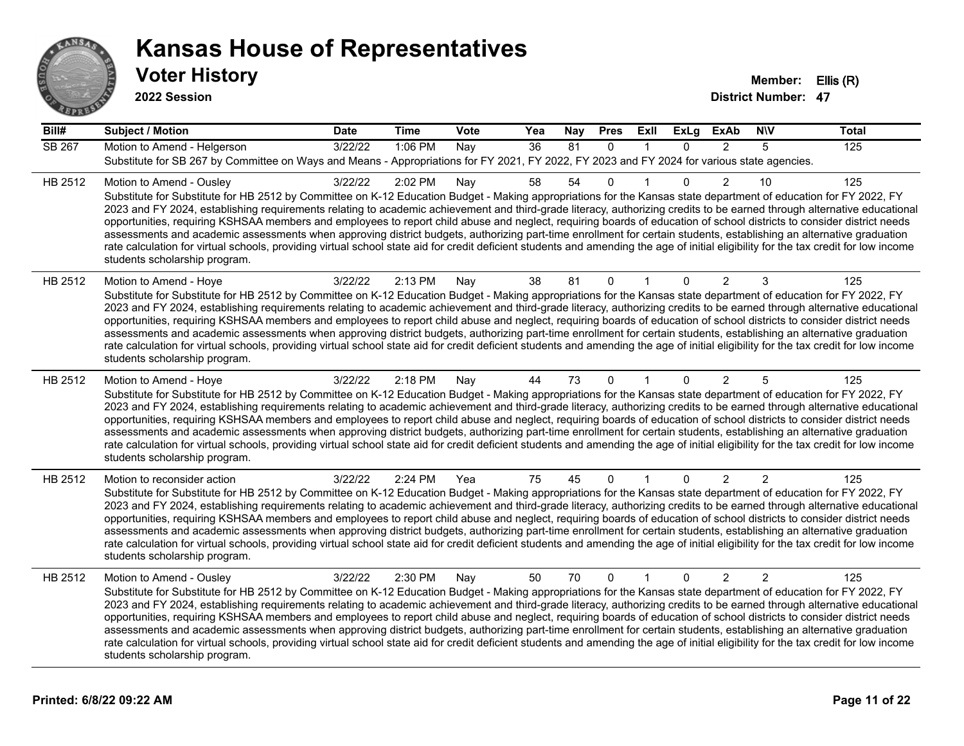

**2022 Session**

| Bill#   | <b>Subject / Motion</b>                                                                                                                                                                                                                                                                                                                                                                                                                                                                                                                                                                                                                                                                                                                                                                                                                                                                                                                             | <b>Date</b> | <b>Time</b> | Vote | Yea             | Nay | <b>Pres</b>  | <b>Exll</b> | <b>ExLg</b>  | <b>ExAb</b>    | <b>NIV</b>     | <b>Total</b> |
|---------|-----------------------------------------------------------------------------------------------------------------------------------------------------------------------------------------------------------------------------------------------------------------------------------------------------------------------------------------------------------------------------------------------------------------------------------------------------------------------------------------------------------------------------------------------------------------------------------------------------------------------------------------------------------------------------------------------------------------------------------------------------------------------------------------------------------------------------------------------------------------------------------------------------------------------------------------------------|-------------|-------------|------|-----------------|-----|--------------|-------------|--------------|----------------|----------------|--------------|
| SB 267  | Motion to Amend - Helgerson<br>Substitute for SB 267 by Committee on Ways and Means - Appropriations for FY 2021, FY 2022, FY 2023 and FY 2024 for various state agencies.                                                                                                                                                                                                                                                                                                                                                                                                                                                                                                                                                                                                                                                                                                                                                                          | 3/22/22     | 1:06 PM     | Nay  | $\overline{36}$ | 81  | $\mathbf{0}$ |             | $\Omega$     | $\overline{2}$ | 5              | 125          |
| HB 2512 | Motion to Amend - Ousley<br>Substitute for Substitute for HB 2512 by Committee on K-12 Education Budget - Making appropriations for the Kansas state department of education for FY 2022, FY<br>2023 and FY 2024, establishing requirements relating to academic achievement and third-grade literacy, authorizing credits to be earned through alternative educational<br>opportunities, requiring KSHSAA members and employees to report child abuse and neglect, requiring boards of education of school districts to consider district needs<br>assessments and academic assessments when approving district budgets, authorizing part-time enrollment for certain students, establishing an alternative graduation<br>rate calculation for virtual schools, providing virtual school state aid for credit deficient students and amending the age of initial eligibility for the tax credit for low income<br>students scholarship program.    | 3/22/22     | 2:02 PM     | Nay  | 58              | 54  | $\Omega$     |             | $\Omega$     | $\overline{2}$ | 10             | 125          |
| HB 2512 | Motion to Amend - Hoye<br>Substitute for Substitute for HB 2512 by Committee on K-12 Education Budget - Making appropriations for the Kansas state department of education for FY 2022, FY<br>2023 and FY 2024, establishing requirements relating to academic achievement and third-grade literacy, authorizing credits to be earned through alternative educational<br>opportunities, requiring KSHSAA members and employees to report child abuse and neglect, requiring boards of education of school districts to consider district needs<br>assessments and academic assessments when approving district budgets, authorizing part-time enrollment for certain students, establishing an alternative graduation<br>rate calculation for virtual schools, providing virtual school state aid for credit deficient students and amending the age of initial eligibility for the tax credit for low income<br>students scholarship program.      | 3/22/22     | 2:13 PM     | Nay  | 38              | 81  | $\mathbf{0}$ |             | 0            | $\overline{2}$ | 3              | 125          |
| HB 2512 | Motion to Amend - Hoye<br>Substitute for Substitute for HB 2512 by Committee on K-12 Education Budget - Making appropriations for the Kansas state department of education for FY 2022, FY<br>2023 and FY 2024, establishing requirements relating to academic achievement and third-grade literacy, authorizing credits to be earned through alternative educational<br>opportunities, requiring KSHSAA members and employees to report child abuse and neglect, requiring boards of education of school districts to consider district needs<br>assessments and academic assessments when approving district budgets, authorizing part-time enrollment for certain students, establishing an alternative graduation<br>rate calculation for virtual schools, providing virtual school state aid for credit deficient students and amending the age of initial eligibility for the tax credit for low income<br>students scholarship program.      | 3/22/22     | 2:18 PM     | Nay  | 44              | 73  | $\mathbf{0}$ |             | $\Omega$     | $\overline{2}$ | 5              | 125          |
| HB 2512 | Motion to reconsider action<br>Substitute for Substitute for HB 2512 by Committee on K-12 Education Budget - Making appropriations for the Kansas state department of education for FY 2022, FY<br>2023 and FY 2024, establishing requirements relating to academic achievement and third-grade literacy, authorizing credits to be earned through alternative educational<br>opportunities, requiring KSHSAA members and employees to report child abuse and neglect, requiring boards of education of school districts to consider district needs<br>assessments and academic assessments when approving district budgets, authorizing part-time enrollment for certain students, establishing an alternative graduation<br>rate calculation for virtual schools, providing virtual school state aid for credit deficient students and amending the age of initial eligibility for the tax credit for low income<br>students scholarship program. | 3/22/22     | 2:24 PM     | Yea  | 75              | 45  | 0            |             | $\mathbf{0}$ | $\overline{2}$ | $\overline{2}$ | 125          |
| HB 2512 | Motion to Amend - Ousley<br>Substitute for Substitute for HB 2512 by Committee on K-12 Education Budget - Making appropriations for the Kansas state department of education for FY 2022, FY<br>2023 and FY 2024, establishing requirements relating to academic achievement and third-grade literacy, authorizing credits to be earned through alternative educational<br>opportunities, requiring KSHSAA members and employees to report child abuse and neglect, requiring boards of education of school districts to consider district needs<br>assessments and academic assessments when approving district budgets, authorizing part-time enrollment for certain students, establishing an alternative graduation<br>rate calculation for virtual schools, providing virtual school state aid for credit deficient students and amending the age of initial eligibility for the tax credit for low income<br>students scholarship program.    | 3/22/22     | 2:30 PM     | Nay  | 50              | 70  | $\mathbf 0$  | 1           | $\mathbf{0}$ | $\overline{2}$ | $\overline{2}$ | 125          |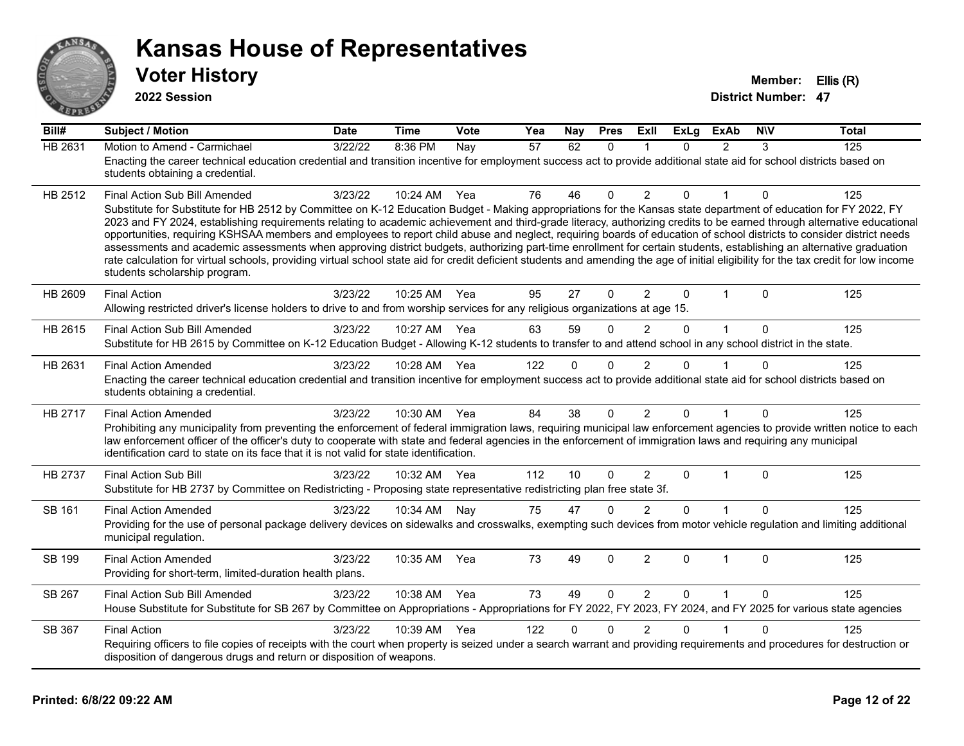

**2022 Session**

| Bill#          | <b>Subject / Motion</b>                                                                                                                                                                                                                                                                                                                                                                                                                                                                                                                                                                                                                                                                                                                                                                                                                                                                                                                               | <b>Date</b> | <b>Time</b> | Vote | Yea | Nay          | <b>Pres</b>  | ExII           | <b>ExLg</b> | <b>ExAb</b>   | <b>NIV</b>   | <b>Total</b> |
|----------------|-------------------------------------------------------------------------------------------------------------------------------------------------------------------------------------------------------------------------------------------------------------------------------------------------------------------------------------------------------------------------------------------------------------------------------------------------------------------------------------------------------------------------------------------------------------------------------------------------------------------------------------------------------------------------------------------------------------------------------------------------------------------------------------------------------------------------------------------------------------------------------------------------------------------------------------------------------|-------------|-------------|------|-----|--------------|--------------|----------------|-------------|---------------|--------------|--------------|
| <b>HB 2631</b> | Motion to Amend - Carmichael<br>Enacting the career technical education credential and transition incentive for employment success act to provide additional state aid for school districts based on<br>students obtaining a credential.                                                                                                                                                                                                                                                                                                                                                                                                                                                                                                                                                                                                                                                                                                              | 3/22/22     | 8:36 PM     | Nay  | 57  | 62           | $\Omega$     |                | $\Omega$    | $\mathcal{P}$ | 3            | 125          |
| HB 2512        | Final Action Sub Bill Amended<br>Substitute for Substitute for HB 2512 by Committee on K-12 Education Budget - Making appropriations for the Kansas state department of education for FY 2022, FY<br>2023 and FY 2024, establishing requirements relating to academic achievement and third-grade literacy, authorizing credits to be earned through alternative educational<br>opportunities, requiring KSHSAA members and employees to report child abuse and neglect, requiring boards of education of school districts to consider district needs<br>assessments and academic assessments when approving district budgets, authorizing part-time enrollment for certain students, establishing an alternative graduation<br>rate calculation for virtual schools, providing virtual school state aid for credit deficient students and amending the age of initial eligibility for the tax credit for low income<br>students scholarship program. | 3/23/22     | 10:24 AM    | Yea  | 76  | 46           | $\Omega$     | 2              | 0           |               | $\Omega$     | 125          |
| HB 2609        | <b>Final Action</b><br>Allowing restricted driver's license holders to drive to and from worship services for any religious organizations at age 15.                                                                                                                                                                                                                                                                                                                                                                                                                                                                                                                                                                                                                                                                                                                                                                                                  | 3/23/22     | 10:25 AM    | Yea  | 95  | 27           | $\mathbf{0}$ | $\overline{2}$ | 0           | $\mathbf 1$   | $\Omega$     | 125          |
| HB 2615        | Final Action Sub Bill Amended<br>Substitute for HB 2615 by Committee on K-12 Education Budget - Allowing K-12 students to transfer to and attend school in any school district in the state.                                                                                                                                                                                                                                                                                                                                                                                                                                                                                                                                                                                                                                                                                                                                                          | 3/23/22     | 10:27 AM    | Yea  | 63  | 59           | $\Omega$     | $\overline{2}$ | $\Omega$    | $\mathbf{1}$  | $\mathbf 0$  | 125          |
| HB 2631        | <b>Final Action Amended</b><br>Enacting the career technical education credential and transition incentive for employment success act to provide additional state aid for school districts based on<br>students obtaining a credential.                                                                                                                                                                                                                                                                                                                                                                                                                                                                                                                                                                                                                                                                                                               | 3/23/22     | 10:28 AM    | Yea  | 122 | $\Omega$     | 0            | $\overline{2}$ | $\Omega$    |               | $\Omega$     | 125          |
| HB 2717        | <b>Final Action Amended</b><br>Prohibiting any municipality from preventing the enforcement of federal immigration laws, requiring municipal law enforcement agencies to provide written notice to each<br>law enforcement officer of the officer's duty to cooperate with state and federal agencies in the enforcement of immigration laws and requiring any municipal<br>identification card to state on its face that it is not valid for state identification.                                                                                                                                                                                                                                                                                                                                                                                                                                                                                   | 3/23/22     | 10:30 AM    | Yea  | 84  | 38           | $\Omega$     | $\overline{2}$ | $\Omega$    | 1             | $\mathbf{0}$ | 125          |
| <b>HB 2737</b> | Final Action Sub Bill<br>Substitute for HB 2737 by Committee on Redistricting - Proposing state representative redistricting plan free state 3f.                                                                                                                                                                                                                                                                                                                                                                                                                                                                                                                                                                                                                                                                                                                                                                                                      | 3/23/22     | 10:32 AM    | Yea  | 112 | 10           | $\Omega$     | $\overline{2}$ | 0           | $\mathbf 1$   | $\Omega$     | 125          |
| SB 161         | <b>Final Action Amended</b><br>Providing for the use of personal package delivery devices on sidewalks and crosswalks, exempting such devices from motor vehicle regulation and limiting additional<br>municipal regulation.                                                                                                                                                                                                                                                                                                                                                                                                                                                                                                                                                                                                                                                                                                                          | 3/23/22     | 10:34 AM    | Nay  | 75  | 47           | $\Omega$     | $\mathfrak{p}$ | $\Omega$    |               | $\Omega$     | 125          |
| <b>SB 199</b>  | <b>Final Action Amended</b><br>Providing for short-term, limited-duration health plans.                                                                                                                                                                                                                                                                                                                                                                                                                                                                                                                                                                                                                                                                                                                                                                                                                                                               | 3/23/22     | 10:35 AM    | Yea  | 73  | 49           | $\mathbf 0$  | $\overline{2}$ | $\Omega$    | $\mathbf{1}$  | $\mathbf 0$  | 125          |
| SB 267         | Final Action Sub Bill Amended<br>House Substitute for Substitute for SB 267 by Committee on Appropriations - Appropriations for FY 2022, FY 2023, FY 2024, and FY 2025 for various state agencies                                                                                                                                                                                                                                                                                                                                                                                                                                                                                                                                                                                                                                                                                                                                                     | 3/23/22     | 10:38 AM    | Yea  | 73  | 49           | $\Omega$     | 2              | $\Omega$    | $\mathbf{1}$  | $\Omega$     | 125          |
| SB 367         | <b>Final Action</b><br>Requiring officers to file copies of receipts with the court when property is seized under a search warrant and providing requirements and procedures for destruction or<br>disposition of dangerous drugs and return or disposition of weapons.                                                                                                                                                                                                                                                                                                                                                                                                                                                                                                                                                                                                                                                                               | 3/23/22     | 10:39 AM    | Yea  | 122 | $\mathbf{0}$ | $\Omega$     | $\overline{2}$ | 0           |               | $\Omega$     | 125          |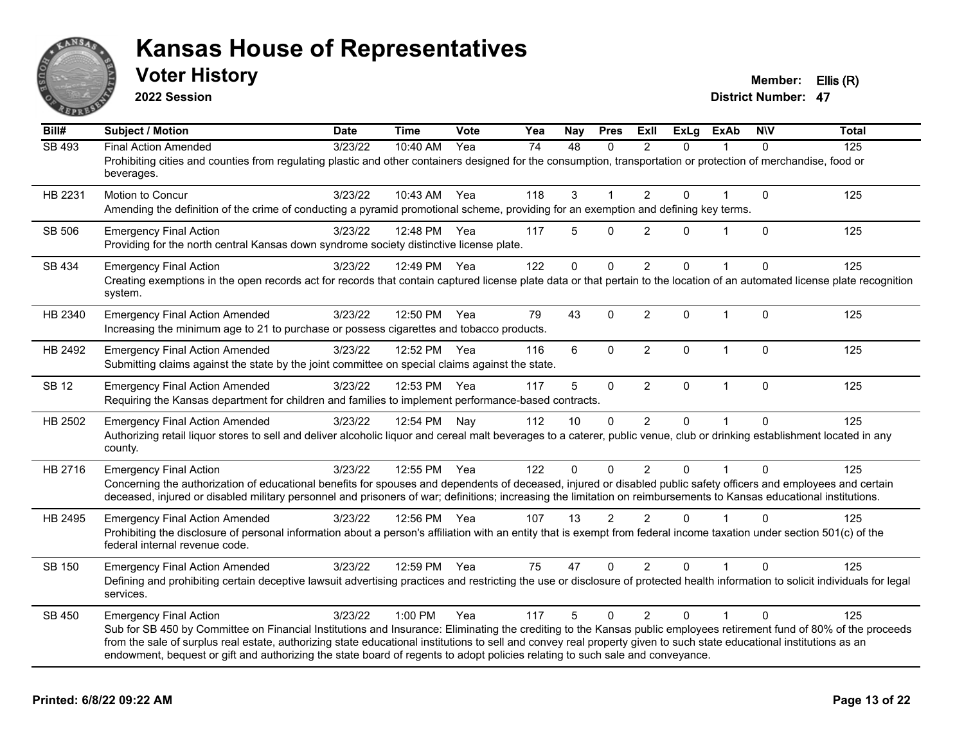

**2022 Session**

**Voter History Member: Ellis (R)** 

| Bill#         | <b>Subject / Motion</b>                                                                                                                                                                                                                                                                                                                                                                                                                                                                                        | <b>Date</b> | <b>Time</b>  | Vote | Yea | Nay          | <b>Pres</b>    | ExII           | <b>ExLg</b> | <b>ExAb</b>  | <b>NIV</b>   | <b>Total</b> |
|---------------|----------------------------------------------------------------------------------------------------------------------------------------------------------------------------------------------------------------------------------------------------------------------------------------------------------------------------------------------------------------------------------------------------------------------------------------------------------------------------------------------------------------|-------------|--------------|------|-----|--------------|----------------|----------------|-------------|--------------|--------------|--------------|
| <b>SB 493</b> | <b>Final Action Amended</b><br>Prohibiting cities and counties from regulating plastic and other containers designed for the consumption, transportation or protection of merchandise, food or<br>beverages.                                                                                                                                                                                                                                                                                                   | 3/23/22     | 10:40 AM     | Yea  | 74  | 48           | $\Omega$       | $\overline{2}$ | $\Omega$    |              | $\Omega$     | 125          |
| HB 2231       | Motion to Concur<br>Amending the definition of the crime of conducting a pyramid promotional scheme, providing for an exemption and defining key terms.                                                                                                                                                                                                                                                                                                                                                        | 3/23/22     | 10:43 AM     | Yea  | 118 | 3            | $\overline{1}$ | $\overline{2}$ | 0           |              | $\mathbf{0}$ | 125          |
| SB 506        | <b>Emergency Final Action</b><br>Providing for the north central Kansas down syndrome society distinctive license plate.                                                                                                                                                                                                                                                                                                                                                                                       | 3/23/22     | 12:48 PM     | Yea  | 117 | 5            | $\Omega$       | 2              | $\Omega$    |              | $\mathbf{0}$ | 125          |
| SB 434        | <b>Emergency Final Action</b><br>Creating exemptions in the open records act for records that contain captured license plate data or that pertain to the location of an automated license plate recognition<br>system.                                                                                                                                                                                                                                                                                         | 3/23/22     | 12:49 PM     | Yea  | 122 | $\mathbf 0$  | $\mathbf 0$    | $\overline{2}$ | $\Omega$    |              | $\Omega$     | 125          |
| HB 2340       | <b>Emergency Final Action Amended</b><br>Increasing the minimum age to 21 to purchase or possess cigarettes and tobacco products.                                                                                                                                                                                                                                                                                                                                                                              | 3/23/22     | 12:50 PM     | Yea  | 79  | 43           | $\mathbf{0}$   | $\overline{2}$ | 0           | $\mathbf{1}$ | $\mathbf{0}$ | 125          |
| HB 2492       | <b>Emergency Final Action Amended</b><br>Submitting claims against the state by the joint committee on special claims against the state.                                                                                                                                                                                                                                                                                                                                                                       | 3/23/22     | 12:52 PM     | Yea  | 116 | 6            | $\mathbf 0$    | $\overline{2}$ | 0           | $\mathbf 1$  | $\mathbf{0}$ | 125          |
| <b>SB 12</b>  | <b>Emergency Final Action Amended</b><br>Requiring the Kansas department for children and families to implement performance-based contracts.                                                                                                                                                                                                                                                                                                                                                                   | 3/23/22     | 12:53 PM     | Yea  | 117 | 5            | $\mathbf 0$    | $\overline{2}$ | 0           | $\mathbf 1$  | $\mathbf 0$  | 125          |
| HB 2502       | <b>Emergency Final Action Amended</b><br>Authorizing retail liquor stores to sell and deliver alcoholic liquor and cereal malt beverages to a caterer, public venue, club or drinking establishment located in any<br>county.                                                                                                                                                                                                                                                                                  | 3/23/22     | 12:54 PM     | Nay  | 112 | 10           | $\Omega$       | $\overline{2}$ | 0           |              | $\Omega$     | 125          |
| HB 2716       | <b>Emergency Final Action</b><br>Concerning the authorization of educational benefits for spouses and dependents of deceased, injured or disabled public safety officers and employees and certain<br>deceased, injured or disabled military personnel and prisoners of war; definitions; increasing the limitation on reimbursements to Kansas educational institutions.                                                                                                                                      | 3/23/22     | 12:55 PM     | Yea  | 122 | $\mathbf{0}$ | $\Omega$       | 2              | 0           |              | $\Omega$     | 125          |
| HB 2495       | <b>Emergency Final Action Amended</b><br>Prohibiting the disclosure of personal information about a person's affiliation with an entity that is exempt from federal income taxation under section 501(c) of the<br>federal internal revenue code.                                                                                                                                                                                                                                                              | 3/23/22     | 12:56 PM Yea |      | 107 | 13           | 2              | 2              | $\Omega$    |              | $\Omega$     | 125          |
| <b>SB 150</b> | <b>Emergency Final Action Amended</b><br>Defining and prohibiting certain deceptive lawsuit advertising practices and restricting the use or disclosure of protected health information to solicit individuals for legal<br>services.                                                                                                                                                                                                                                                                          | 3/23/22     | 12:59 PM     | Yea  | 75  | 47           | $\Omega$       | $\overline{2}$ | 0           |              | $\Omega$     | 125          |
| SB 450        | <b>Emergency Final Action</b><br>Sub for SB 450 by Committee on Financial Institutions and Insurance: Eliminating the crediting to the Kansas public employees retirement fund of 80% of the proceeds<br>from the sale of surplus real estate, authorizing state educational institutions to sell and convey real property given to such state educational institutions as an<br>endowment, bequest or gift and authorizing the state board of regents to adopt policies relating to such sale and conveyance. | 3/23/22     | 1:00 PM      | Yea  | 117 | 5            | $\Omega$       | $\overline{2}$ | $\Omega$    |              | $\Omega$     | 125          |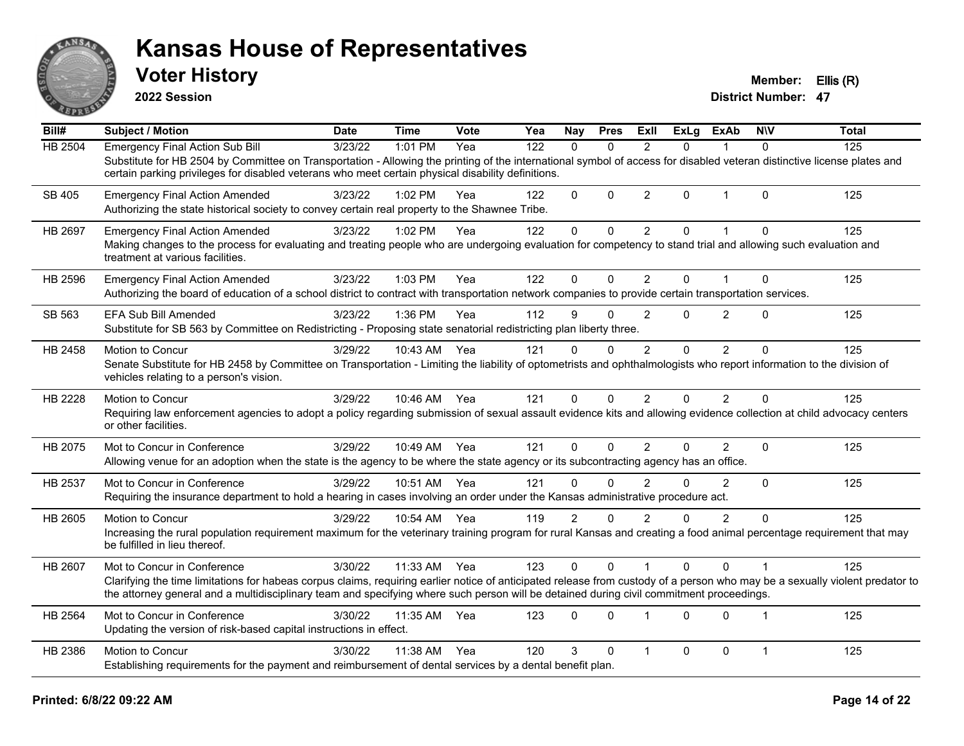

**2022 Session**

**Voter History Member: Ellis (R)** 

| Bill#          | <b>Subject / Motion</b>                                                                                                                                                                                                                                                                                                  | <b>Date</b> | <b>Time</b>  | Vote | Yea | <b>Nay</b>     | <b>Pres</b>  | ExII           | <b>ExLg</b>  | <b>ExAb</b>    | <b>NIV</b>   | <b>Total</b> |
|----------------|--------------------------------------------------------------------------------------------------------------------------------------------------------------------------------------------------------------------------------------------------------------------------------------------------------------------------|-------------|--------------|------|-----|----------------|--------------|----------------|--------------|----------------|--------------|--------------|
| <b>HB 2504</b> | <b>Emergency Final Action Sub Bill</b>                                                                                                                                                                                                                                                                                   | 3/23/22     | 1:01 PM      | Yea  | 122 | $\Omega$       | $\Omega$     | $\overline{2}$ | $\Omega$     | 1              | $\Omega$     | 125          |
|                | Substitute for HB 2504 by Committee on Transportation - Allowing the printing of the international symbol of access for disabled veteran distinctive license plates and<br>certain parking privileges for disabled veterans who meet certain physical disability definitions.                                            |             |              |      |     |                |              |                |              |                |              |              |
| SB 405         | <b>Emergency Final Action Amended</b><br>Authorizing the state historical society to convey certain real property to the Shawnee Tribe.                                                                                                                                                                                  | 3/23/22     | $1:02$ PM    | Yea  | 122 | $\Omega$       | $\Omega$     | $\overline{2}$ | $\Omega$     | $\mathbf{1}$   | $\Omega$     | 125          |
| HB 2697        | <b>Emergency Final Action Amended</b>                                                                                                                                                                                                                                                                                    | 3/23/22     | 1:02 PM      | Yea  | 122 | $\mathbf{0}$   | 0            | $\overline{2}$ | $\mathbf{0}$ | 1              | $\mathbf{0}$ | 125          |
|                | Making changes to the process for evaluating and treating people who are undergoing evaluation for competency to stand trial and allowing such evaluation and<br>treatment at various facilities.                                                                                                                        |             |              |      |     |                |              |                |              |                |              |              |
| HB 2596        | <b>Emergency Final Action Amended</b>                                                                                                                                                                                                                                                                                    | 3/23/22     | 1:03 PM      | Yea  | 122 | 0              | $\mathbf 0$  | $\overline{2}$ | $\mathbf{0}$ | 1              | $\mathbf 0$  | 125          |
|                | Authorizing the board of education of a school district to contract with transportation network companies to provide certain transportation services.                                                                                                                                                                    |             |              |      |     |                |              |                |              |                |              |              |
| SB 563         | <b>EFA Sub Bill Amended</b>                                                                                                                                                                                                                                                                                              | 3/23/22     | $1:36$ PM    | Yea  | 112 | 9              | $\Omega$     | 2              | $\Omega$     | $\overline{2}$ | $\Omega$     | 125          |
|                | Substitute for SB 563 by Committee on Redistricting - Proposing state senatorial redistricting plan liberty three.                                                                                                                                                                                                       |             |              |      |     |                |              |                |              |                |              |              |
| HB 2458        | Motion to Concur                                                                                                                                                                                                                                                                                                         | 3/29/22     | 10:43 AM     | Yea  | 121 | $\Omega$       | $\Omega$     | $\overline{2}$ | $\Omega$     | $\overline{2}$ | $\Omega$     | 125          |
|                | Senate Substitute for HB 2458 by Committee on Transportation - Limiting the liability of optometrists and ophthalmologists who report information to the division of<br>vehicles relating to a person's vision.                                                                                                          |             |              |      |     |                |              |                |              |                |              |              |
| HB 2228        | Motion to Concur                                                                                                                                                                                                                                                                                                         | 3/29/22     | 10:46 AM Yea |      | 121 | 0              | $\mathbf{0}$ | 2              | $\Omega$     | $\overline{2}$ | $\Omega$     | 125          |
|                | Requiring law enforcement agencies to adopt a policy regarding submission of sexual assault evidence kits and allowing evidence collection at child advocacy centers<br>or other facilities.                                                                                                                             |             |              |      |     |                |              |                |              |                |              |              |
| HB 2075        | Mot to Concur in Conference                                                                                                                                                                                                                                                                                              | 3/29/22     | 10:49 AM     | Yea  | 121 | $\Omega$       | $\mathbf{0}$ | $\overline{2}$ | $\Omega$     | $\overline{2}$ | $\Omega$     | 125          |
|                | Allowing venue for an adoption when the state is the agency to be where the state agency or its subcontracting agency has an office.                                                                                                                                                                                     |             |              |      |     |                |              |                |              |                |              |              |
| HB 2537        | Mot to Concur in Conference                                                                                                                                                                                                                                                                                              | 3/29/22     | 10:51 AM     | Yea  | 121 | $\mathbf 0$    | 0            | $\overline{2}$ | $\Omega$     | $\overline{2}$ | $\mathbf{0}$ | 125          |
|                | Requiring the insurance department to hold a hearing in cases involving an order under the Kansas administrative procedure act.                                                                                                                                                                                          |             |              |      |     |                |              |                |              |                |              |              |
| HB 2605        | Motion to Concur                                                                                                                                                                                                                                                                                                         | 3/29/22     | 10:54 AM     | Yea  | 119 | $\overline{2}$ | $\mathbf{0}$ | $\overline{2}$ | $\Omega$     | $\overline{2}$ | $\mathbf{0}$ | 125          |
|                | Increasing the rural population requirement maximum for the veterinary training program for rural Kansas and creating a food animal percentage requirement that may<br>be fulfilled in lieu thereof.                                                                                                                     |             |              |      |     |                |              |                |              |                |              |              |
| HB 2607        | Mot to Concur in Conference                                                                                                                                                                                                                                                                                              | 3/30/22     | 11:33 AM     | Yea  | 123 | $\mathbf{0}$   | $\mathbf{0}$ | $\overline{1}$ | $\Omega$     | $\Omega$       | $\mathbf 1$  | 125          |
|                | Clarifying the time limitations for habeas corpus claims, requiring earlier notice of anticipated release from custody of a person who may be a sexually violent predator to<br>the attorney general and a multidisciplinary team and specifying where such person will be detained during civil commitment proceedings. |             |              |      |     |                |              |                |              |                |              |              |
| <b>HB 2564</b> | Mot to Concur in Conference                                                                                                                                                                                                                                                                                              | 3/30/22     | 11:35 AM     | Yea  | 123 | $\Omega$       | $\mathbf{0}$ | 1              | $\Omega$     | $\Omega$       | 1            | 125          |
|                | Updating the version of risk-based capital instructions in effect.                                                                                                                                                                                                                                                       |             |              |      |     |                |              |                |              |                |              |              |
| HB 2386        | <b>Motion to Concur</b>                                                                                                                                                                                                                                                                                                  | 3/30/22     | 11:38 AM     | Yea  | 120 | 3              | 0            | 1              | $\Omega$     | 0              | $\mathbf{1}$ | 125          |
|                | Establishing requirements for the payment and reimbursement of dental services by a dental benefit plan.                                                                                                                                                                                                                 |             |              |      |     |                |              |                |              |                |              |              |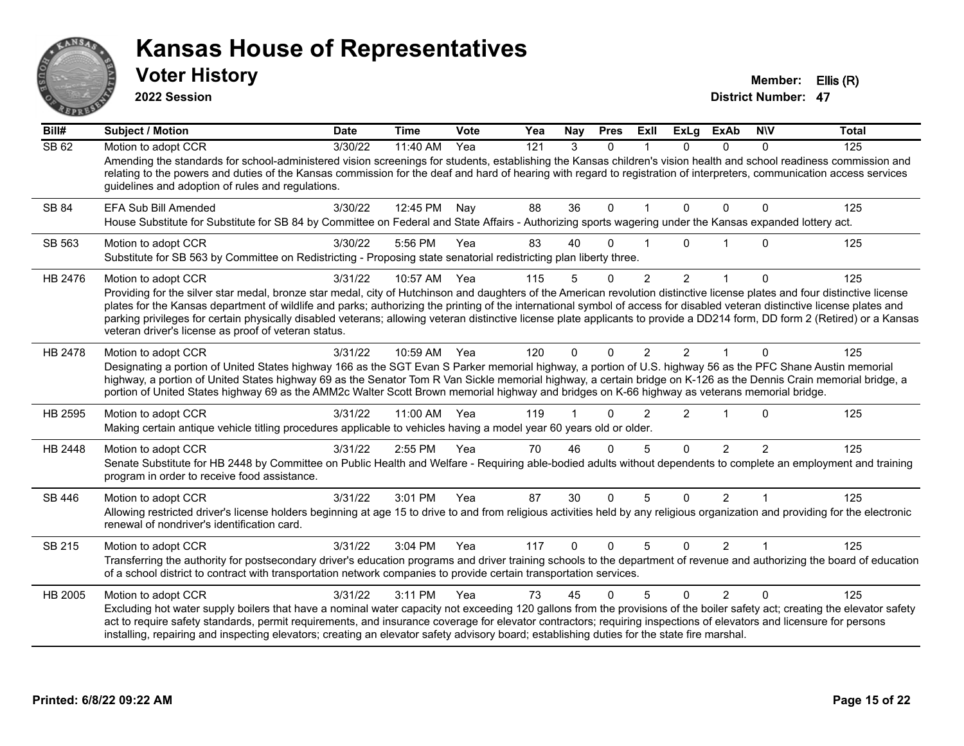

**2022 Session**

**Voter History Member: Ellis (R)** 

| Bill#   | <b>Subject / Motion</b>                                                                                                                                                                                                                                                                                                                                                                                                                                                                                                                                                                                                 | <b>Date</b> | <b>Time</b>  | Vote | Yea | Nay          | <b>Pres</b>  | ExII           | <b>ExLg</b>    | <b>ExAb</b>    | <b>NIV</b>     | <b>Total</b> |
|---------|-------------------------------------------------------------------------------------------------------------------------------------------------------------------------------------------------------------------------------------------------------------------------------------------------------------------------------------------------------------------------------------------------------------------------------------------------------------------------------------------------------------------------------------------------------------------------------------------------------------------------|-------------|--------------|------|-----|--------------|--------------|----------------|----------------|----------------|----------------|--------------|
| SB 62   | Motion to adopt CCR<br>Amending the standards for school-administered vision screenings for students, establishing the Kansas children's vision health and school readiness commission and<br>relating to the powers and duties of the Kansas commission for the deaf and hard of hearing with regard to registration of interpreters, communication access services<br>guidelines and adoption of rules and regulations.                                                                                                                                                                                               | 3/30/22     | 11:40 AM     | Yea  | 121 | 3            | $\Omega$     |                | $\Omega$       | $\Omega$       | $\Omega$       | 125          |
| SB 84   | EFA Sub Bill Amended<br>House Substitute for Substitute for SB 84 by Committee on Federal and State Affairs - Authorizing sports wagering under the Kansas expanded lottery act.                                                                                                                                                                                                                                                                                                                                                                                                                                        | 3/30/22     | 12:45 PM     | Nay  | 88  | 36           | $\Omega$     |                | $\Omega$       | $\Omega$       | 0              | 125          |
| SB 563  | Motion to adopt CCR<br>Substitute for SB 563 by Committee on Redistricting - Proposing state senatorial redistricting plan liberty three.                                                                                                                                                                                                                                                                                                                                                                                                                                                                               | 3/30/22     | 5:56 PM      | Yea  | 83  | 40           | $\Omega$     |                | U              |                | $\Omega$       | 125          |
| HB 2476 | Motion to adopt CCR<br>Providing for the silver star medal, bronze star medal, city of Hutchinson and daughters of the American revolution distinctive license plates and four distinctive license<br>plates for the Kansas department of wildlife and parks; authorizing the printing of the international symbol of access for disabled veteran distinctive license plates and<br>parking privileges for certain physically disabled veterans; allowing veteran distinctive license plate applicants to provide a DD214 form, DD form 2 (Retired) or a Kansas<br>veteran driver's license as proof of veteran status. | 3/31/22     | 10:57 AM     | Yea  | 115 | 5            | 0            | $\overline{2}$ | $\overline{2}$ |                | 0              | 125          |
| HB 2478 | Motion to adopt CCR<br>Designating a portion of United States highway 166 as the SGT Evan S Parker memorial highway, a portion of U.S. highway 56 as the PFC Shane Austin memorial<br>highway, a portion of United States highway 69 as the Senator Tom R Van Sickle memorial highway, a certain bridge on K-126 as the Dennis Crain memorial bridge, a<br>portion of United States highway 69 as the AMM2c Walter Scott Brown memorial highway and bridges on K-66 highway as veterans memorial bridge.                                                                                                                | 3/31/22     | 10:59 AM Yea |      | 120 | $\Omega$     | $\Omega$     | $\mathfrak{p}$ | $\mathcal{P}$  |                | $\Omega$       | 125          |
| HB 2595 | Motion to adopt CCR<br>Making certain antique vehicle titling procedures applicable to vehicles having a model year 60 years old or older.                                                                                                                                                                                                                                                                                                                                                                                                                                                                              | 3/31/22     | 11:00 AM     | Yea  | 119 |              | 0            | $\overline{2}$ | $\overline{2}$ | -1             | 0              | 125          |
| HB 2448 | Motion to adopt CCR<br>Senate Substitute for HB 2448 by Committee on Public Health and Welfare - Requiring able-bodied adults without dependents to complete an employment and training<br>program in order to receive food assistance.                                                                                                                                                                                                                                                                                                                                                                                 | 3/31/22     | 2:55 PM      | Yea  | 70  | 46           | $\Omega$     | 5              | $\Omega$       | $\overline{2}$ | $\mathfrak{p}$ | 125          |
| SB 446  | Motion to adopt CCR<br>Allowing restricted driver's license holders beginning at age 15 to drive to and from religious activities held by any religious organization and providing for the electronic<br>renewal of nondriver's identification card.                                                                                                                                                                                                                                                                                                                                                                    | 3/31/22     | 3:01 PM      | Yea  | 87  | 30           | $\Omega$     | 5              | $\Omega$       | 2              |                | 125          |
| SB 215  | Motion to adopt CCR<br>Transferring the authority for postsecondary driver's education programs and driver training schools to the department of revenue and authorizing the board of education<br>of a school district to contract with transportation network companies to provide certain transportation services.                                                                                                                                                                                                                                                                                                   | 3/31/22     | 3:04 PM      | Yea  | 117 | $\mathbf{0}$ | $\mathbf{0}$ | 5              | $\Omega$       | $\overline{2}$ | $\mathbf 1$    | 125          |
| HB 2005 | Motion to adopt CCR<br>Excluding hot water supply boilers that have a nominal water capacity not exceeding 120 gallons from the provisions of the boiler safety act; creating the elevator safety<br>act to require safety standards, permit requirements, and insurance coverage for elevator contractors; requiring inspections of elevators and licensure for persons<br>installing, repairing and inspecting elevators; creating an elevator safety advisory board; establishing duties for the state fire marshal.                                                                                                 | 3/31/22     | 3:11 PM      | Yea  | 73  | 45           | $\Omega$     | 5              | $\Omega$       | $\mathcal{P}$  | $\Omega$       | 125          |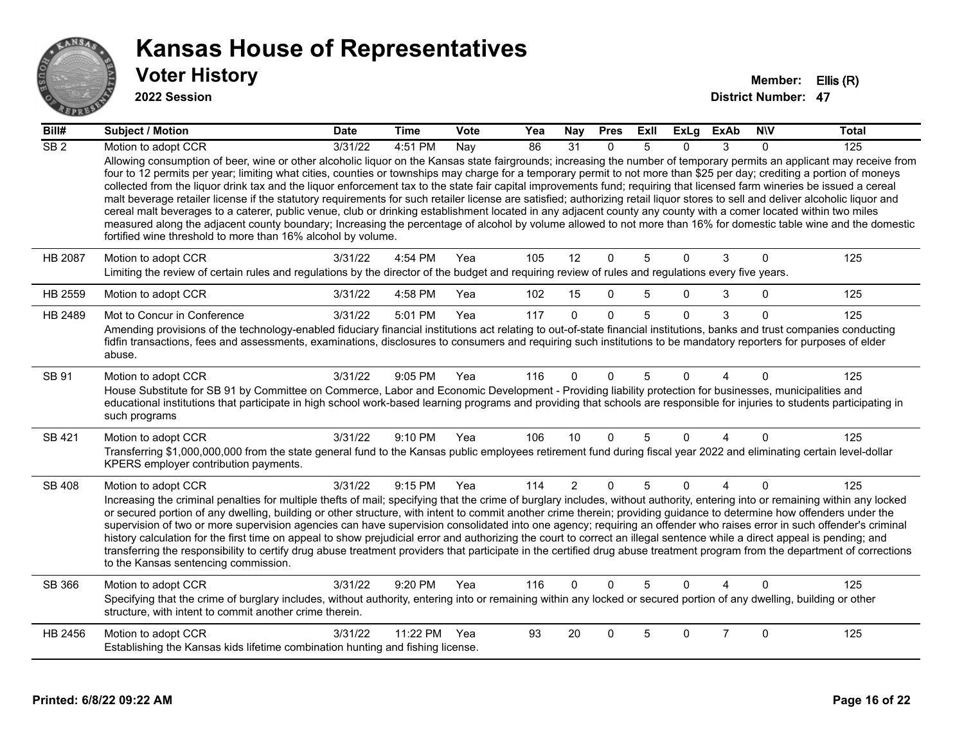

#### **2022 Session**

| Bill#           | <b>Subject / Motion</b>                                                                                                                                                                                                                                                                                                                                                                                                                                                                                                                                                                                                                                                                                                                                                                                                                                                                                                                                                                                                                                                                                                                          | <b>Date</b> | <b>Time</b>  | Vote | Yea | Nay            | <b>Pres</b>  | ExIl | <b>ExLg</b> | <b>ExAb</b>    | <b>NIV</b> | <b>Total</b> |
|-----------------|--------------------------------------------------------------------------------------------------------------------------------------------------------------------------------------------------------------------------------------------------------------------------------------------------------------------------------------------------------------------------------------------------------------------------------------------------------------------------------------------------------------------------------------------------------------------------------------------------------------------------------------------------------------------------------------------------------------------------------------------------------------------------------------------------------------------------------------------------------------------------------------------------------------------------------------------------------------------------------------------------------------------------------------------------------------------------------------------------------------------------------------------------|-------------|--------------|------|-----|----------------|--------------|------|-------------|----------------|------------|--------------|
| SB <sub>2</sub> | Motion to adopt CCR<br>Allowing consumption of beer, wine or other alcoholic liquor on the Kansas state fairgrounds; increasing the number of temporary permits an applicant may receive from<br>four to 12 permits per year; limiting what cities, counties or townships may charge for a temporary permit to not more than \$25 per day; crediting a portion of moneys<br>collected from the liquor drink tax and the liquor enforcement tax to the state fair capital improvements fund; requiring that licensed farm wineries be issued a cereal<br>malt beverage retailer license if the statutory requirements for such retailer license are satisfied; authorizing retail liquor stores to sell and deliver alcoholic liquor and<br>cereal malt beverages to a caterer, public venue, club or drinking establishment located in any adjacent county any county with a comer located within two miles<br>measured along the adjacent county boundary; Increasing the percentage of alcohol by volume allowed to not more than 16% for domestic table wine and the domestic<br>fortified wine threshold to more than 16% alcohol by volume. | 3/31/22     | 4:51 PM      | Nav  | 86  | 31             | $\mathbf{0}$ | 5    | 0           | 3              | $\Omega$   | 125          |
| HB 2087         | Motion to adopt CCR<br>Limiting the review of certain rules and regulations by the director of the budget and requiring review of rules and regulations every five years.                                                                                                                                                                                                                                                                                                                                                                                                                                                                                                                                                                                                                                                                                                                                                                                                                                                                                                                                                                        | 3/31/22     | 4:54 PM      | Yea  | 105 | 12             | $\mathbf{0}$ | 5    | $\Omega$    | 3              | $\Omega$   | 125          |
| HB 2559         | Motion to adopt CCR                                                                                                                                                                                                                                                                                                                                                                                                                                                                                                                                                                                                                                                                                                                                                                                                                                                                                                                                                                                                                                                                                                                              | 3/31/22     | 4:58 PM      | Yea  | 102 | 15             | $\Omega$     | 5    | 0           | 3              | 0          | 125          |
| HB 2489         | Mot to Concur in Conference<br>Amending provisions of the technology-enabled fiduciary financial institutions act relating to out-of-state financial institutions, banks and trust companies conducting<br>fidfin transactions, fees and assessments, examinations, disclosures to consumers and requiring such institutions to be mandatory reporters for purposes of elder<br>abuse.                                                                                                                                                                                                                                                                                                                                                                                                                                                                                                                                                                                                                                                                                                                                                           | 3/31/22     | 5:01 PM      | Yea  | 117 | $\Omega$       | $\Omega$     | 5    | $\Omega$    | 3              | $\Omega$   | 125          |
| SB 91           | Motion to adopt CCR<br>House Substitute for SB 91 by Committee on Commerce, Labor and Economic Development - Providing liability protection for businesses, municipalities and<br>educational institutions that participate in high school work-based learning programs and providing that schools are responsible for injuries to students participating in<br>such programs                                                                                                                                                                                                                                                                                                                                                                                                                                                                                                                                                                                                                                                                                                                                                                    | 3/31/22     | 9:05 PM      | Yea  | 116 | $\Omega$       | <sup>0</sup> | 5    | n           |                | 0          | 125          |
| SB 421          | Motion to adopt CCR<br>Transferring \$1,000,000,000 from the state general fund to the Kansas public employees retirement fund during fiscal year 2022 and eliminating certain level-dollar<br>KPERS employer contribution payments.                                                                                                                                                                                                                                                                                                                                                                                                                                                                                                                                                                                                                                                                                                                                                                                                                                                                                                             | 3/31/22     | $9:10$ PM    | Yea  | 106 | 10             | $\Omega$     | 5    | $\Omega$    | 4              | $\Omega$   | 125          |
| <b>SB 408</b>   | Motion to adopt CCR<br>Increasing the criminal penalties for multiple thefts of mail; specifying that the crime of burglary includes, without authority, entering into or remaining within any locked<br>or secured portion of any dwelling, building or other structure, with intent to commit another crime therein; providing guidance to determine how offenders under the<br>supervision of two or more supervision agencies can have supervision consolidated into one agency; requiring an offender who raises error in such offender's criminal<br>history calculation for the first time on appeal to show prejudicial error and authorizing the court to correct an illegal sentence while a direct appeal is pending; and<br>transferring the responsibility to certify drug abuse treatment providers that participate in the certified drug abuse treatment program from the department of corrections<br>to the Kansas sentencing commission.                                                                                                                                                                                      | 3/31/22     | 9:15 PM      | Yea  | 114 | $\overline{2}$ | $\mathbf{0}$ | 5    | $\Omega$    | 4              | $\Omega$   | 125          |
| SB 366          | Motion to adopt CCR<br>Specifying that the crime of burglary includes, without authority, entering into or remaining within any locked or secured portion of any dwelling, building or other<br>structure, with intent to commit another crime therein.                                                                                                                                                                                                                                                                                                                                                                                                                                                                                                                                                                                                                                                                                                                                                                                                                                                                                          | 3/31/22     | 9:20 PM      | Yea  | 116 | $\Omega$       | $\Omega$     | 5    | $\Omega$    |                | $\Omega$   | 125          |
| HB 2456         | Motion to adopt CCR<br>Establishing the Kansas kids lifetime combination hunting and fishing license.                                                                                                                                                                                                                                                                                                                                                                                                                                                                                                                                                                                                                                                                                                                                                                                                                                                                                                                                                                                                                                            | 3/31/22     | 11:22 PM Yea |      | 93  | 20             | $\Omega$     | 5    | $\Omega$    | $\overline{7}$ | $\Omega$   | 125          |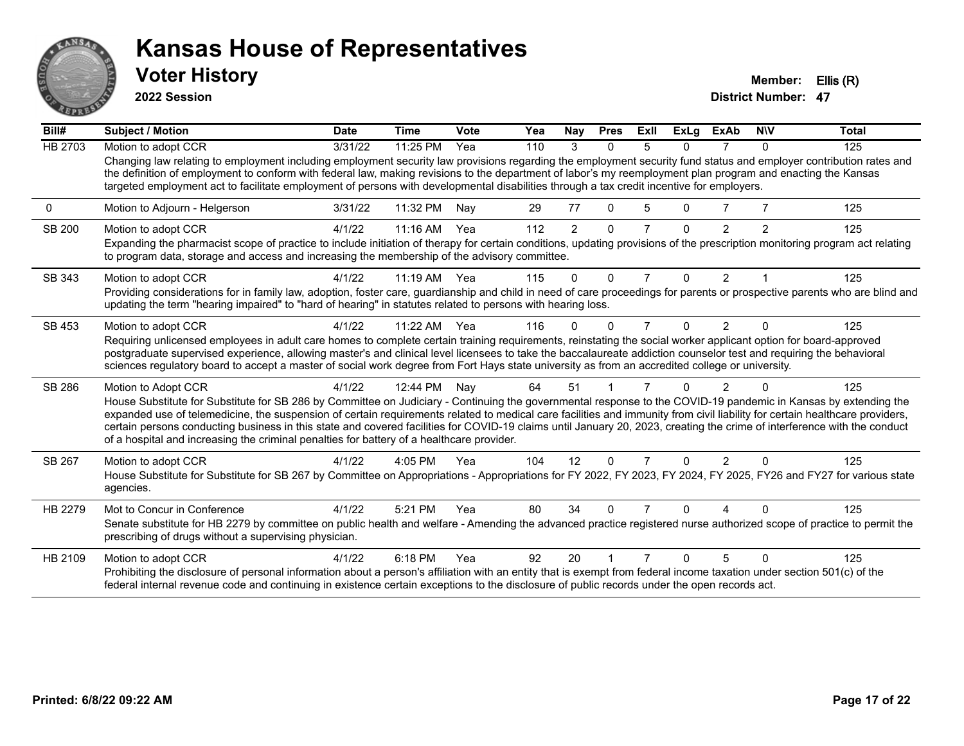

**2022 Session**

**Voter History Member: Ellis (R)** 

| Bill#          | Subject / Motion                                                                                                                                                                                                                                                                                                                                                                                                                                                                                                                                                                                                        | <b>Date</b> | <b>Time</b> | Vote | Yea | Nay            | <b>Pres</b> | ExII           | <b>ExLg</b> | <b>ExAb</b>    | <b>NIV</b> | Total |
|----------------|-------------------------------------------------------------------------------------------------------------------------------------------------------------------------------------------------------------------------------------------------------------------------------------------------------------------------------------------------------------------------------------------------------------------------------------------------------------------------------------------------------------------------------------------------------------------------------------------------------------------------|-------------|-------------|------|-----|----------------|-------------|----------------|-------------|----------------|------------|-------|
| <b>HB 2703</b> | Motion to adopt CCR                                                                                                                                                                                                                                                                                                                                                                                                                                                                                                                                                                                                     | 3/31/22     | 11:25 PM    | Yea  | 110 | 3              | $\Omega$    | 5              | 0           | 7              | $\Omega$   | 125   |
|                | Changing law relating to employment including employment security law provisions regarding the employment security fund status and employer contribution rates and<br>the definition of employment to conform with federal law, making revisions to the department of labor's my reemployment plan program and enacting the Kansas<br>targeted employment act to facilitate employment of persons with developmental disabilities through a tax credit incentive for employers.                                                                                                                                         |             |             |      |     |                |             |                |             |                |            |       |
| 0              | Motion to Adjourn - Helgerson                                                                                                                                                                                                                                                                                                                                                                                                                                                                                                                                                                                           | 3/31/22     | 11:32 PM    | Nay  | 29  | 77             | $\Omega$    | 5              | 0           |                |            | 125   |
| <b>SB 200</b>  | Motion to adopt CCR                                                                                                                                                                                                                                                                                                                                                                                                                                                                                                                                                                                                     | 4/1/22      | 11:16 AM    | Yea  | 112 | $\overline{2}$ | $\Omega$    | 7              | $\Omega$    | 2              | 2          | 125   |
|                | Expanding the pharmacist scope of practice to include initiation of therapy for certain conditions, updating provisions of the prescription monitoring program act relating<br>to program data, storage and access and increasing the membership of the advisory committee.                                                                                                                                                                                                                                                                                                                                             |             |             |      |     |                |             |                |             |                |            |       |
| SB 343         | Motion to adopt CCR                                                                                                                                                                                                                                                                                                                                                                                                                                                                                                                                                                                                     | 4/1/22      | $11:19$ AM  | Yea  | 115 | $\Omega$       | $\Omega$    | $\overline{7}$ | 0           | $\overline{2}$ |            | 125   |
|                | Providing considerations for in family law, adoption, foster care, guardianship and child in need of care proceedings for parents or prospective parents who are blind and<br>updating the term "hearing impaired" to "hard of hearing" in statutes related to persons with hearing loss.                                                                                                                                                                                                                                                                                                                               |             |             |      |     |                |             |                |             |                |            |       |
| SB 453         | Motion to adopt CCR                                                                                                                                                                                                                                                                                                                                                                                                                                                                                                                                                                                                     | 4/1/22      | 11:22 AM    | Yea  | 116 | 0              | $\Omega$    | 7              | 0           | 2              | $\Omega$   | 125   |
|                | Requiring unlicensed employees in adult care homes to complete certain training requirements, reinstating the social worker applicant option for board-approved                                                                                                                                                                                                                                                                                                                                                                                                                                                         |             |             |      |     |                |             |                |             |                |            |       |
|                | postgraduate supervised experience, allowing master's and clinical level licensees to take the baccalaureate addiction counselor test and requiring the behavioral<br>sciences regulatory board to accept a master of social work degree from Fort Hays state university as from an accredited college or university.                                                                                                                                                                                                                                                                                                   |             |             |      |     |                |             |                |             |                |            |       |
| SB 286         | Motion to Adopt CCR                                                                                                                                                                                                                                                                                                                                                                                                                                                                                                                                                                                                     | 4/1/22      | 12:44 PM    | Nav  | 64  | 51             |             |                | U           | 2              |            | 125   |
|                | House Substitute for Substitute for SB 286 by Committee on Judiciary - Continuing the governmental response to the COVID-19 pandemic in Kansas by extending the<br>expanded use of telemedicine, the suspension of certain requirements related to medical care facilities and immunity from civil liability for certain healthcare providers,<br>certain persons conducting business in this state and covered facilities for COVID-19 claims until January 20, 2023, creating the crime of interference with the conduct<br>of a hospital and increasing the criminal penalties for battery of a healthcare provider. |             |             |      |     |                |             |                |             |                |            |       |
| SB 267         | Motion to adopt CCR                                                                                                                                                                                                                                                                                                                                                                                                                                                                                                                                                                                                     | 4/1/22      | 4:05 PM     | Yea  | 104 | 12             | $\Omega$    | 7              | $\Omega$    | $\mathcal{P}$  | $\Omega$   | 125   |
|                | House Substitute for Substitute for SB 267 by Committee on Appropriations - Appropriations for FY 2022, FY 2023, FY 2024, FY 2025, FY26 and FY27 for various state<br>agencies.                                                                                                                                                                                                                                                                                                                                                                                                                                         |             |             |      |     |                |             |                |             |                |            |       |
| HB 2279        | Mot to Concur in Conference                                                                                                                                                                                                                                                                                                                                                                                                                                                                                                                                                                                             | 4/1/22      | 5:21 PM     | Yea  | 80  | 34             | O           |                | n           |                |            | 125   |
|                | Senate substitute for HB 2279 by committee on public health and welfare - Amending the advanced practice registered nurse authorized scope of practice to permit the<br>prescribing of drugs without a supervising physician.                                                                                                                                                                                                                                                                                                                                                                                           |             |             |      |     |                |             |                |             |                |            |       |
| HB 2109        | Motion to adopt CCR                                                                                                                                                                                                                                                                                                                                                                                                                                                                                                                                                                                                     | 4/1/22      | 6:18 PM     | Yea  | 92  | 20             |             |                | n           | 5              | $\Omega$   | 125   |
|                | Prohibiting the disclosure of personal information about a person's affiliation with an entity that is exempt from federal income taxation under section 501(c) of the<br>federal internal revenue code and continuing in existence certain exceptions to the disclosure of public records under the open records act.                                                                                                                                                                                                                                                                                                  |             |             |      |     |                |             |                |             |                |            |       |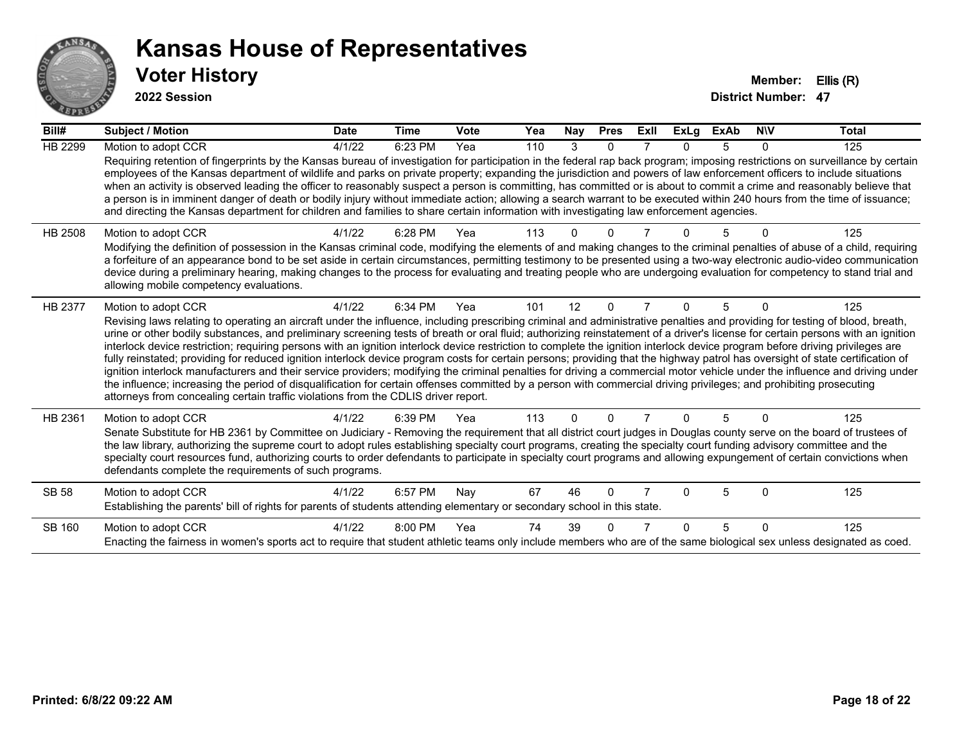

**2022 Session**

| Bill#          | <b>Subject / Motion</b>                                                                                                                                                                                                                                                                                                                                                                                                                                                                                                                                                                                                                                                                                                                                                                                                                                                                                                                                                                                                                                                                                                                                                                               | <b>Date</b> | <b>Time</b> | Vote | Yea | <b>Nay</b> | <b>Pres</b> | ExII | <b>ExLg</b> | <b>ExAb</b> | <b>NIV</b>   | <b>Total</b> |
|----------------|-------------------------------------------------------------------------------------------------------------------------------------------------------------------------------------------------------------------------------------------------------------------------------------------------------------------------------------------------------------------------------------------------------------------------------------------------------------------------------------------------------------------------------------------------------------------------------------------------------------------------------------------------------------------------------------------------------------------------------------------------------------------------------------------------------------------------------------------------------------------------------------------------------------------------------------------------------------------------------------------------------------------------------------------------------------------------------------------------------------------------------------------------------------------------------------------------------|-------------|-------------|------|-----|------------|-------------|------|-------------|-------------|--------------|--------------|
| <b>HB 2299</b> | Motion to adopt CCR<br>Requiring retention of fingerprints by the Kansas bureau of investigation for participation in the federal rap back program; imposing restrictions on surveillance by certain<br>employees of the Kansas department of wildlife and parks on private property; expanding the jurisdiction and powers of law enforcement officers to include situations<br>when an activity is observed leading the officer to reasonably suspect a person is committing, has committed or is about to commit a crime and reasonably believe that<br>a person is in imminent danger of death or bodily injury without immediate action; allowing a search warrant to be executed within 240 hours from the time of issuance;<br>and directing the Kansas department for children and families to share certain information with investigating law enforcement agencies.                                                                                                                                                                                                                                                                                                                         | 4/1/22      | 6:23 PM     | Yea  | 110 | 3          | 0           |      | 0           | 5           | 0            | 125          |
| HB 2508        | Motion to adopt CCR<br>Modifying the definition of possession in the Kansas criminal code, modifying the elements of and making changes to the criminal penalties of abuse of a child, requiring<br>a forfeiture of an appearance bond to be set aside in certain circumstances, permitting testimony to be presented using a two-way electronic audio-video communication<br>device during a preliminary hearing, making changes to the process for evaluating and treating people who are undergoing evaluation for competency to stand trial and<br>allowing mobile competency evaluations.                                                                                                                                                                                                                                                                                                                                                                                                                                                                                                                                                                                                        | 4/1/22      | 6:28 PM     | Yea  | 113 |            |             |      |             |             |              | 125          |
| <b>HB 2377</b> | Motion to adopt CCR<br>Revising laws relating to operating an aircraft under the influence, including prescribing criminal and administrative penalties and providing for testing of blood, breath,<br>urine or other bodily substances, and preliminary screening tests of breath or oral fluid; authorizing reinstatement of a driver's license for certain persons with an ignition<br>interlock device restriction; requiring persons with an ignition interlock device restriction to complete the ignition interlock device program before driving privileges are<br>fully reinstated; providing for reduced ignition interlock device program costs for certain persons; providing that the highway patrol has oversight of state certification of<br>ignition interlock manufacturers and their service providers; modifying the criminal penalties for driving a commercial motor vehicle under the influence and driving under<br>the influence; increasing the period of disqualification for certain offenses committed by a person with commercial driving privileges; and prohibiting prosecuting<br>attorneys from concealing certain traffic violations from the CDLIS driver report. | 4/1/22      | 6:34 PM     | Yea  | 101 | 12         | $\Omega$    |      | $\Omega$    | 5           |              | 125          |
| HB 2361        | Motion to adopt CCR<br>Senate Substitute for HB 2361 by Committee on Judiciary - Removing the requirement that all district court judges in Douglas county serve on the board of trustees of<br>the law library, authorizing the supreme court to adopt rules establishing specialty court programs, creating the specialty court funding advisory committee and the<br>specialty court resources fund, authorizing courts to order defendants to participate in specialty court programs and allowing expungement of certain convictions when<br>defendants complete the requirements of such programs.                                                                                                                                                                                                                                                                                                                                                                                                                                                                                                                                                                                              | 4/1/22      | 6:39 PM     | Yea  | 113 | 0          | $\Omega$    |      | 0           | 5           | $\Omega$     | 125          |
| <b>SB 58</b>   | Motion to adopt CCR<br>Establishing the parents' bill of rights for parents of students attending elementary or secondary school in this state.                                                                                                                                                                                                                                                                                                                                                                                                                                                                                                                                                                                                                                                                                                                                                                                                                                                                                                                                                                                                                                                       | 4/1/22      | 6:57 PM     | Nav  | 67  | 46         | 0           |      | U           | 5           | <sup>0</sup> | 125          |
| SB 160         | Motion to adopt CCR<br>Enacting the fairness in women's sports act to require that student athletic teams only include members who are of the same biological sex unless designated as coed.                                                                                                                                                                                                                                                                                                                                                                                                                                                                                                                                                                                                                                                                                                                                                                                                                                                                                                                                                                                                          | 4/1/22      | 8:00 PM     | Yea  | 74  | 39         |             |      | U           | 5           | 0            | 125          |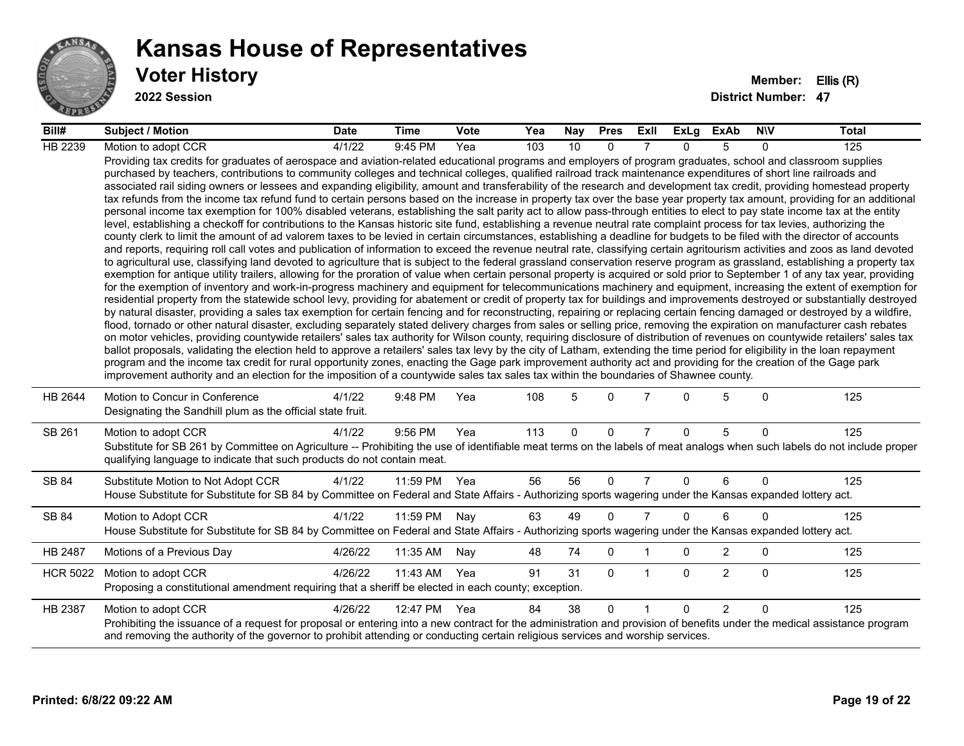

#### **Voter History Member: Ellis (R) Kansas House of Representatives**

**2022 Session**

| Bill#           | <b>Subject / Motion</b>                                                                                                                                                                                                                                                                                                                                                                                                                                                                                                                                                                                                                                                                                                                                                                                                                                                                                                                                                                                                                                                                                                                                                                                                                                                                                                                                                                                                                                                                                                                                                                                                                                                                                                                                                                                                                                                                                                                                                                                                                                                                                                                                                                                                                                                                                                                                                                                                                                                                                                                                                                                                                                                                                                                                                                                                                                                                                                                                                                                                                                                                                                                                                     | <b>Date</b> | Time     | <b>Vote</b> | Yea | Nay      | <b>Pres</b>  | ExII           | ExLg     | <b>ExAb</b>    | <b>NIV</b>   | <b>Total</b> |
|-----------------|-----------------------------------------------------------------------------------------------------------------------------------------------------------------------------------------------------------------------------------------------------------------------------------------------------------------------------------------------------------------------------------------------------------------------------------------------------------------------------------------------------------------------------------------------------------------------------------------------------------------------------------------------------------------------------------------------------------------------------------------------------------------------------------------------------------------------------------------------------------------------------------------------------------------------------------------------------------------------------------------------------------------------------------------------------------------------------------------------------------------------------------------------------------------------------------------------------------------------------------------------------------------------------------------------------------------------------------------------------------------------------------------------------------------------------------------------------------------------------------------------------------------------------------------------------------------------------------------------------------------------------------------------------------------------------------------------------------------------------------------------------------------------------------------------------------------------------------------------------------------------------------------------------------------------------------------------------------------------------------------------------------------------------------------------------------------------------------------------------------------------------------------------------------------------------------------------------------------------------------------------------------------------------------------------------------------------------------------------------------------------------------------------------------------------------------------------------------------------------------------------------------------------------------------------------------------------------------------------------------------------------------------------------------------------------------------------------------------------------------------------------------------------------------------------------------------------------------------------------------------------------------------------------------------------------------------------------------------------------------------------------------------------------------------------------------------------------------------------------------------------------------------------------------------------------|-------------|----------|-------------|-----|----------|--------------|----------------|----------|----------------|--------------|--------------|
| HB 2239         | Motion to adopt CCR                                                                                                                                                                                                                                                                                                                                                                                                                                                                                                                                                                                                                                                                                                                                                                                                                                                                                                                                                                                                                                                                                                                                                                                                                                                                                                                                                                                                                                                                                                                                                                                                                                                                                                                                                                                                                                                                                                                                                                                                                                                                                                                                                                                                                                                                                                                                                                                                                                                                                                                                                                                                                                                                                                                                                                                                                                                                                                                                                                                                                                                                                                                                                         | 4/1/22      | 9:45 PM  | Yea         | 103 | 10       | $\Omega$     |                | $\Omega$ | 5              | 0            | 125          |
|                 | Providing tax credits for graduates of aerospace and aviation-related educational programs and employers of program graduates, school and classroom supplies<br>purchased by teachers, contributions to community colleges and technical colleges, qualified railroad track maintenance expenditures of short line railroads and<br>associated rail siding owners or lessees and expanding eligibility, amount and transferability of the research and development tax credit, providing homestead property<br>tax refunds from the income tax refund fund to certain persons based on the increase in property tax over the base year property tax amount, providing for an additional<br>personal income tax exemption for 100% disabled veterans, establishing the salt parity act to allow pass-through entities to elect to pay state income tax at the entity<br>level, establishing a checkoff for contributions to the Kansas historic site fund, establishing a revenue neutral rate complaint process for tax levies, authorizing the<br>county clerk to limit the amount of ad valorem taxes to be levied in certain circumstances, establishing a deadline for budgets to be filed with the director of accounts<br>and reports, requiring roll call votes and publication of information to exceed the revenue neutral rate, classifying certain agritourism activities and zoos as land devoted<br>to agricultural use, classifying land devoted to agriculture that is subject to the federal grassland conservation reserve program as grassland, establishing a property tax<br>exemption for antique utility trailers, allowing for the proration of value when certain personal property is acquired or sold prior to September 1 of any tax year, providing<br>for the exemption of inventory and work-in-progress machinery and equipment for telecommunications machinery and equipment, increasing the extent of exemption for<br>residential property from the statewide school levy, providing for abatement or credit of property tax for buildings and improvements destroyed or substantially destroyed<br>by natural disaster, providing a sales tax exemption for certain fencing and for reconstructing, repairing or replacing certain fencing damaged or destroyed by a wildfire,<br>flood, tornado or other natural disaster, excluding separately stated delivery charges from sales or selling price, removing the expiration on manufacturer cash rebates<br>on motor vehicles, providing countywide retailers' sales tax authority for Wilson county, requiring disclosure of distribution of revenues on countywide retailers' sales tax<br>ballot proposals, validating the election held to approve a retailers' sales tax levy by the city of Latham, extending the time period for eligibility in the loan repayment<br>program and the income tax credit for rural opportunity zones, enacting the Gage park improvement authority act and providing for the creation of the Gage park<br>improvement authority and an election for the imposition of a countywide sales tax sales tax within the boundaries of Shawnee county. |             |          |             |     |          |              |                |          |                |              |              |
| HB 2644         | Motion to Concur in Conference<br>Designating the Sandhill plum as the official state fruit.                                                                                                                                                                                                                                                                                                                                                                                                                                                                                                                                                                                                                                                                                                                                                                                                                                                                                                                                                                                                                                                                                                                                                                                                                                                                                                                                                                                                                                                                                                                                                                                                                                                                                                                                                                                                                                                                                                                                                                                                                                                                                                                                                                                                                                                                                                                                                                                                                                                                                                                                                                                                                                                                                                                                                                                                                                                                                                                                                                                                                                                                                | 4/1/22      | 9:48 PM  | Yea         | 108 | 5        | $\Omega$     |                | $\Omega$ | 5              | $\Omega$     | 125          |
| SB 261          | Motion to adopt CCR<br>Substitute for SB 261 by Committee on Agriculture -- Prohibiting the use of identifiable meat terms on the labels of meat analogs when such labels do not include proper<br>qualifying language to indicate that such products do not contain meat.                                                                                                                                                                                                                                                                                                                                                                                                                                                                                                                                                                                                                                                                                                                                                                                                                                                                                                                                                                                                                                                                                                                                                                                                                                                                                                                                                                                                                                                                                                                                                                                                                                                                                                                                                                                                                                                                                                                                                                                                                                                                                                                                                                                                                                                                                                                                                                                                                                                                                                                                                                                                                                                                                                                                                                                                                                                                                                  | 4/1/22      | 9:56 PM  | Yea         | 113 | $\Omega$ | $\mathbf{0}$ | $\overline{7}$ | $\Omega$ | 5              | $\Omega$     | 125          |
| SB 84           | Substitute Motion to Not Adopt CCR<br>House Substitute for Substitute for SB 84 by Committee on Federal and State Affairs - Authorizing sports wagering under the Kansas expanded lottery act.                                                                                                                                                                                                                                                                                                                                                                                                                                                                                                                                                                                                                                                                                                                                                                                                                                                                                                                                                                                                                                                                                                                                                                                                                                                                                                                                                                                                                                                                                                                                                                                                                                                                                                                                                                                                                                                                                                                                                                                                                                                                                                                                                                                                                                                                                                                                                                                                                                                                                                                                                                                                                                                                                                                                                                                                                                                                                                                                                                              | 4/1/22      | 11:59 PM | Yea         | 56  | 56       | $\Omega$     | $\overline{7}$ | $\Omega$ | 6              | $\Omega$     | 125          |
| SB 84           | Motion to Adopt CCR<br>House Substitute for Substitute for SB 84 by Committee on Federal and State Affairs - Authorizing sports wagering under the Kansas expanded lottery act.                                                                                                                                                                                                                                                                                                                                                                                                                                                                                                                                                                                                                                                                                                                                                                                                                                                                                                                                                                                                                                                                                                                                                                                                                                                                                                                                                                                                                                                                                                                                                                                                                                                                                                                                                                                                                                                                                                                                                                                                                                                                                                                                                                                                                                                                                                                                                                                                                                                                                                                                                                                                                                                                                                                                                                                                                                                                                                                                                                                             | 4/1/22      | 11:59 PM | Nay         | 63  | 49       | $\mathbf{0}$ | $\overline{7}$ | $\Omega$ | 6              | 0            | 125          |
| HB 2487         | Motions of a Previous Day                                                                                                                                                                                                                                                                                                                                                                                                                                                                                                                                                                                                                                                                                                                                                                                                                                                                                                                                                                                                                                                                                                                                                                                                                                                                                                                                                                                                                                                                                                                                                                                                                                                                                                                                                                                                                                                                                                                                                                                                                                                                                                                                                                                                                                                                                                                                                                                                                                                                                                                                                                                                                                                                                                                                                                                                                                                                                                                                                                                                                                                                                                                                                   | 4/26/22     | 11:35 AM | Nay         | 48  | 74       | $\mathbf 0$  |                | $\Omega$ | $\overline{2}$ | $\mathbf{0}$ | 125          |
| <b>HCR 5022</b> | Motion to adopt CCR<br>Proposing a constitutional amendment requiring that a sheriff be elected in each county; exception.                                                                                                                                                                                                                                                                                                                                                                                                                                                                                                                                                                                                                                                                                                                                                                                                                                                                                                                                                                                                                                                                                                                                                                                                                                                                                                                                                                                                                                                                                                                                                                                                                                                                                                                                                                                                                                                                                                                                                                                                                                                                                                                                                                                                                                                                                                                                                                                                                                                                                                                                                                                                                                                                                                                                                                                                                                                                                                                                                                                                                                                  | 4/26/22     | 11:43 AM | Yea         | 91  | 31       | $\mathbf{0}$ | -1             | $\Omega$ | $\overline{2}$ | $\mathbf{0}$ | 125          |
| HB 2387         | Motion to adopt CCR<br>Prohibiting the issuance of a request for proposal or entering into a new contract for the administration and provision of benefits under the medical assistance program<br>and removing the authority of the governor to prohibit attending or conducting certain religious services and worship services.                                                                                                                                                                                                                                                                                                                                                                                                                                                                                                                                                                                                                                                                                                                                                                                                                                                                                                                                                                                                                                                                                                                                                                                                                                                                                                                                                                                                                                                                                                                                                                                                                                                                                                                                                                                                                                                                                                                                                                                                                                                                                                                                                                                                                                                                                                                                                                                                                                                                                                                                                                                                                                                                                                                                                                                                                                          | 4/26/22     | 12:47 PM | Yea         | 84  | 38       | $\Omega$     | $\overline{1}$ | $\Omega$ | $\overline{2}$ | $\Omega$     | 125          |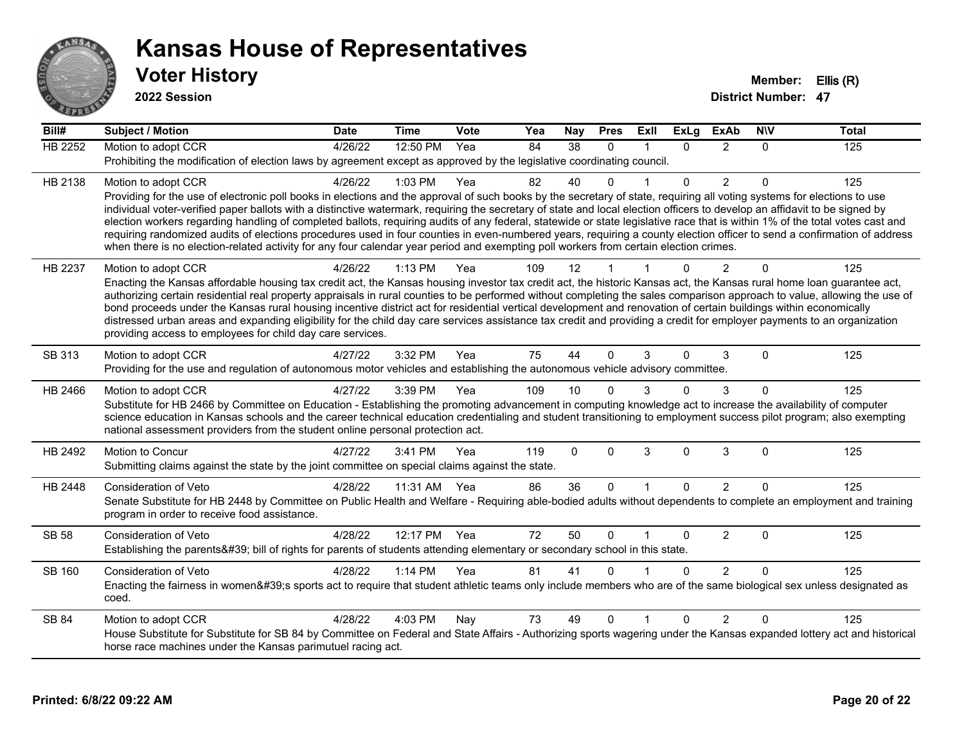

**2022 Session**

**Bill# Subject / Motion Date Time Vote Yea Nay Pres Exll ExLg ExAb N\V Total** HB 2252 Motion to adopt CCR 4/26/22 12:50 PM Yea 84 38 0 1 0 2 0 125 Prohibiting the modification of election laws by agreement except as approved by the legislative coordinating council. HB 2138 Motion to adopt CCR 4/26/22 1:03 PM Yea 82 40 0 1 0 2 0 125 Providing for the use of electronic poll books in elections and the approval of such books by the secretary of state, requiring all voting systems for elections to use individual voter-verified paper ballots with a distinctive watermark, requiring the secretary of state and local election officers to develop an affidavit to be signed by election workers regarding handling of completed ballots, requiring audits of any federal, statewide or state legislative race that is within 1% of the total votes cast and requiring randomized audits of elections procedures used in four counties in even-numbered years, requiring a county election officer to send a confirmation of address when there is no election-related activity for any four calendar year period and exempting poll workers from certain election crimes. HB 2237 Motion to adopt CCR 4/26/22 1:13 PM Yea 109 12 1 1 0 2 0 125 Enacting the Kansas affordable housing tax credit act, the Kansas housing investor tax credit act, the historic Kansas act, the Kansas rural home loan guarantee act, authorizing certain residential real property appraisals in rural counties to be performed without completing the sales comparison approach to value, allowing the use of bond proceeds under the Kansas rural housing incentive district act for residential vertical development and renovation of certain buildings within economically distressed urban areas and expanding eligibility for the child day care services assistance tax credit and providing a credit for employer payments to an organization providing access to employees for child day care services. SB 313 Motion to adopt CCR 4/27/22 3:32 PM Yea 75 44 0 3 0 3 0 125 Providing for the use and regulation of autonomous motor vehicles and establishing the autonomous vehicle advisory committee. HB 2466 Motion to adopt CCR 4/27/22 3:39 PM Yea 109 10 0 3 0 3 0 125 Substitute for HB 2466 by Committee on Education - Establishing the promoting advancement in computing knowledge act to increase the availability of computer science education in Kansas schools and the career technical education credentialing and student transitioning to employment success pilot program; also exempting national assessment providers from the student online personal protection act. HB 2492 Motion to Concur 4/27/22 3:41 PM Yea 119 0 0 3 0 3 0 125 Submitting claims against the state by the joint committee on special claims against the state. HB 2448 Consideration of Veto 4/28/22 11:31 AM Yea 86 36 0 1 0 2 0 125 Senate Substitute for HB 2448 by Committee on Public Health and Welfare - Requiring able-bodied adults without dependents to complete an employment and training program in order to receive food assistance. SB 58 Consideration of Veto **4/28/22 12:17 PM Yea** 72 50 0 1 0 2 0 125 Establishing the parents' bill of rights for parents of students attending elementary or secondary school in this state. SB 160 Consideration of Veto **4/28/22 1:14 PM Yea** 81 41 0 1 0 2 0 125 Enacting the fairness in women's sports act to require that student athletic teams only include members who are of the same biological sex unless designated as coed. SB 84 Motion to adopt CCR 4/28/22 4:03 PM Nay 73 49 0 1 0 2 0 125 House Substitute for Substitute for SB 84 by Committee on Federal and State Affairs - Authorizing sports wagering under the Kansas expanded lottery act and historical horse race machines under the Kansas parimutuel racing act.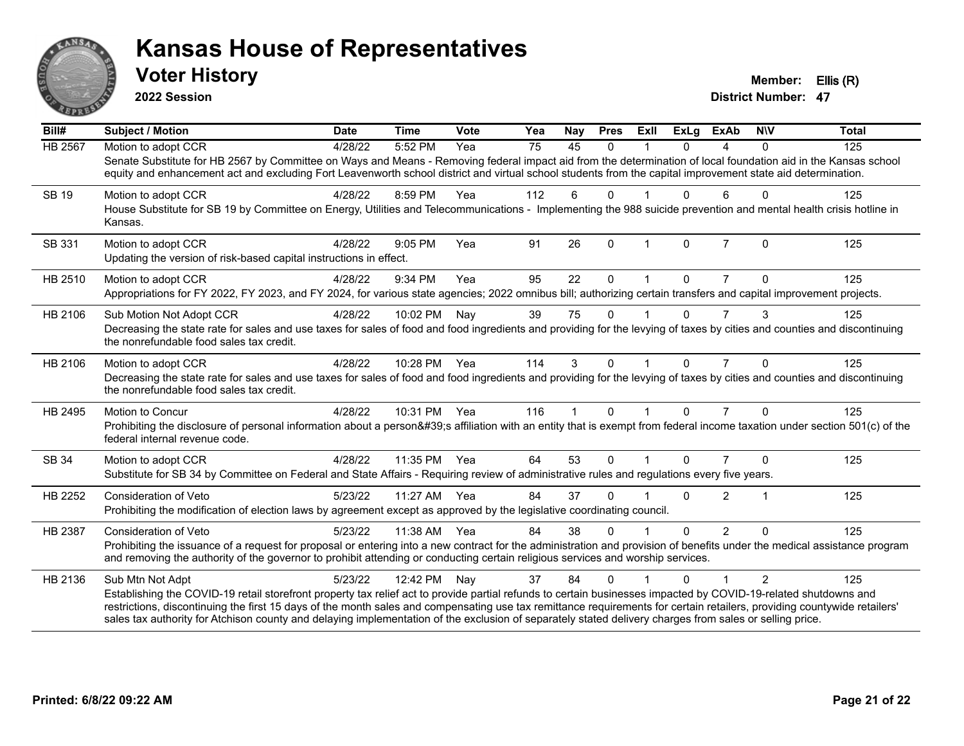

**2022 Session**

**District Number: 47 Voter History Member: Ellis (R)** 

| $\overline{Bill#}$ | Subject / Motion                                                                                                                                                                                                                                                                                                                    | <b>Date</b> | <b>Time</b>  | Vote | Yea | Nay | <b>Pres</b>  | ExII                    | <b>ExLg</b> | <b>ExAb</b>    | <b>NIV</b>     | <b>Total</b> |
|--------------------|-------------------------------------------------------------------------------------------------------------------------------------------------------------------------------------------------------------------------------------------------------------------------------------------------------------------------------------|-------------|--------------|------|-----|-----|--------------|-------------------------|-------------|----------------|----------------|--------------|
| HB 2567            | Motion to adopt CCR                                                                                                                                                                                                                                                                                                                 | 4/28/22     | 5:52 PM      | Yea  | 75  | 45  | $\Omega$     | $\overline{\mathbf{1}}$ | $\Omega$    | 4              | $\Omega$       | 125          |
|                    | Senate Substitute for HB 2567 by Committee on Ways and Means - Removing federal impact aid from the determination of local foundation aid in the Kansas school<br>equity and enhancement act and excluding Fort Leavenworth school district and virtual school students from the capital improvement state aid determination.       |             |              |      |     |     |              |                         |             |                |                |              |
| SB 19              | Motion to adopt CCR                                                                                                                                                                                                                                                                                                                 | 4/28/22     | 8:59 PM      | Yea  | 112 | 6   | $\Omega$     |                         | 0           | 6              | $\Omega$       | 125          |
|                    | House Substitute for SB 19 by Committee on Energy, Utilities and Telecommunications - Implementing the 988 suicide prevention and mental health crisis hotline in<br>Kansas.                                                                                                                                                        |             |              |      |     |     |              |                         |             |                |                |              |
| SB 331             | Motion to adopt CCR                                                                                                                                                                                                                                                                                                                 | 4/28/22     | 9:05 PM      | Yea  | 91  | 26  | $\mathbf{0}$ | -1                      | 0           | $\overline{7}$ | $\mathbf{0}$   | 125          |
|                    | Updating the version of risk-based capital instructions in effect.                                                                                                                                                                                                                                                                  |             |              |      |     |     |              |                         |             |                |                |              |
| HB 2510            | Motion to adopt CCR                                                                                                                                                                                                                                                                                                                 | 4/28/22     | 9:34 PM      | Yea  | 95  | 22  | $\Omega$     |                         | 0           |                | $\Omega$       | 125          |
|                    | Appropriations for FY 2022, FY 2023, and FY 2024, for various state agencies; 2022 omnibus bill; authorizing certain transfers and capital improvement projects.                                                                                                                                                                    |             |              |      |     |     |              |                         |             |                |                |              |
| HB 2106            | Sub Motion Not Adopt CCR                                                                                                                                                                                                                                                                                                            | 4/28/22     | 10:02 PM     | Nay  | 39  | 75  | $\Omega$     |                         | $\Omega$    | $\overline{7}$ | 3              | 125          |
|                    | Decreasing the state rate for sales and use taxes for sales of food and food ingredients and providing for the levying of taxes by cities and counties and discontinuing<br>the nonrefundable food sales tax credit.                                                                                                                |             |              |      |     |     |              |                         |             |                |                |              |
| HB 2106            | Motion to adopt CCR                                                                                                                                                                                                                                                                                                                 | 4/28/22     | 10:28 PM Yea |      | 114 | 3   | $\mathbf{0}$ | -1                      | $\Omega$    | $\overline{7}$ | $\Omega$       | 125          |
|                    | Decreasing the state rate for sales and use taxes for sales of food and food ingredients and providing for the levying of taxes by cities and counties and discontinuing<br>the nonrefundable food sales tax credit.                                                                                                                |             |              |      |     |     |              |                         |             |                |                |              |
| HB 2495            | <b>Motion to Concur</b>                                                                                                                                                                                                                                                                                                             | 4/28/22     | 10:31 PM Yea |      | 116 |     | $\Omega$     |                         | $\Omega$    | $\overline{7}$ | $\Omega$       | 125          |
|                    | Prohibiting the disclosure of personal information about a person's affiliation with an entity that is exempt from federal income taxation under section 501(c) of the<br>federal internal revenue code.                                                                                                                            |             |              |      |     |     |              |                         |             |                |                |              |
| SB 34              | Motion to adopt CCR                                                                                                                                                                                                                                                                                                                 | 4/28/22     | 11:35 PM     | Yea  | 64  | 53  | $\Omega$     |                         | $\Omega$    |                | $\mathbf{0}$   | 125          |
|                    | Substitute for SB 34 by Committee on Federal and State Affairs - Requiring review of administrative rules and regulations every five years.                                                                                                                                                                                         |             |              |      |     |     |              |                         |             |                |                |              |
| HB 2252            | <b>Consideration of Veto</b>                                                                                                                                                                                                                                                                                                        | 5/23/22     | 11:27 AM     | Yea  | 84  | 37  | $\Omega$     |                         | 0           | $\overline{2}$ |                | 125          |
|                    | Prohibiting the modification of election laws by agreement except as approved by the legislative coordinating council.                                                                                                                                                                                                              |             |              |      |     |     |              |                         |             |                |                |              |
| <b>HB 2387</b>     | Consideration of Veto                                                                                                                                                                                                                                                                                                               | 5/23/22     | 11:38 AM Yea |      | 84  | 38  | $\Omega$     |                         | $\Omega$    | $\mathfrak{p}$ | $\Omega$       | 125          |
|                    | Prohibiting the issuance of a request for proposal or entering into a new contract for the administration and provision of benefits under the medical assistance program<br>and removing the authority of the governor to prohibit attending or conducting certain religious services and worship services.                         |             |              |      |     |     |              |                         |             |                |                |              |
| HB 2136            | Sub Mtn Not Adpt                                                                                                                                                                                                                                                                                                                    | 5/23/22     | 12:42 PM     | Nav  | 37  | 84  | $\Omega$     |                         | 0           |                | $\mathfrak{p}$ | 125          |
|                    | Establishing the COVID-19 retail storefront property tax relief act to provide partial refunds to certain businesses impacted by COVID-19-related shutdowns and                                                                                                                                                                     |             |              |      |     |     |              |                         |             |                |                |              |
|                    | restrictions, discontinuing the first 15 days of the month sales and compensating use tax remittance requirements for certain retailers, providing countywide retailers'<br>sales tax authority for Atchison county and delaying implementation of the exclusion of separately stated delivery charges from sales or selling price. |             |              |      |     |     |              |                         |             |                |                |              |